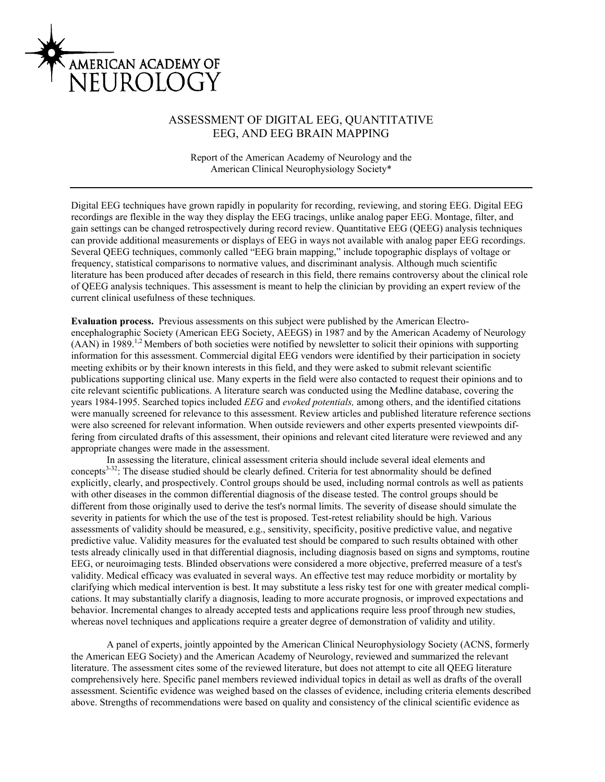

## ASSESSMENT OF DIGITAL EEG, QUANTITATIVE EEG, AND EEG BRAIN MAPPING

Report of the American Academy of Neurology and the American Clinical Neurophysiology Society\*

Digital EEG techniques have grown rapidly in popularity for recording, reviewing, and storing EEG. Digital EEG recordings are flexible in the way they display the EEG tracings, unlike analog paper EEG. Montage, filter, and gain settings can be changed retrospectively during record review. Quantitative EEG (QEEG) analysis techniques can provide additional measurements or displays of EEG in ways not available with analog paper EEG recordings. Several QEEG techniques, commonly called "EEG brain mapping," include topographic displays of voltage or frequency, statistical comparisons to normative values, and discriminant analysis. Although much scientific literature has been produced after decades of research in this field, there remains controversy about the clinical role of QEEG analysis techniques. This assessment is meant to help the clinician by providing an expert review of the current clinical usefulness of these techniques.

**Evaluation process.** Previous assessments on this subject were published by the American Electroencephalographic Society (American EEG Society, AEEGS) in 1987 and by the American Academy of Neurology (AAN) in 1989.<sup>1,2</sup> Members of both societies were notified by newsletter to solicit their opinions with supporting information for this assessment. Commercial digital EEG vendors were identified by their participation in society meeting exhibits or by their known interests in this field, and they were asked to submit relevant scientific publications supporting clinical use. Many experts in the field were also contacted to request their opinions and to cite relevant scientific publications. A literature search was conducted using the Medline database, covering the years 1984-1995. Searched topics included *EEG* and *evoked potentials,* among others, and the identified citations were manually screened for relevance to this assessment. Review articles and published literature reference sections were also screened for relevant information. When outside reviewers and other experts presented viewpoints differing from circulated drafts of this assessment, their opinions and relevant cited literature were reviewed and any appropriate changes were made in the assessment.

In assessing the literature, clinical assessment criteria should include several ideal elements and concepts<sup>3-32</sup>: The disease studied should be clearly defined. Criteria for test abnormality should be defined explicitly, clearly, and prospectively. Control groups should be used, including normal controls as well as patients with other diseases in the common differential diagnosis of the disease tested. The control groups should be different from those originally used to derive the test's normal limits. The severity of disease should simulate the severity in patients for which the use of the test is proposed. Test-retest reliability should be high. Various assessments of validity should be measured, e.g., sensitivity, specificity, positive predictive value, and negative predictive value. Validity measures for the evaluated test should be compared to such results obtained with other tests already clinically used in that differential diagnosis, including diagnosis based on signs and symptoms, routine EEG, or neuroimaging tests. Blinded observations were considered a more objective, preferred measure of a test's validity. Medical efficacy was evaluated in several ways. An effective test may reduce morbidity or mortality by clarifying which medical intervention is best. It may substitute a less risky test for one with greater medical complications. It may substantially clarify a diagnosis, leading to more accurate prognosis, or improved expectations and behavior. Incremental changes to already accepted tests and applications require less proof through new studies, whereas novel techniques and applications require a greater degree of demonstration of validity and utility.

A panel of experts, jointly appointed by the American Clinical Neurophysiology Society (ACNS, formerly the American EEG Society) and the American Academy of Neurology, reviewed and summarized the relevant literature. The assessment cites some of the reviewed literature, but does not attempt to cite all QEEG literature comprehensively here. Specific panel members reviewed individual topics in detail as well as drafts of the overall assessment. Scientific evidence was weighed based on the classes of evidence, including criteria elements described above. Strengths of recommendations were based on quality and consistency of the clinical scientific evidence as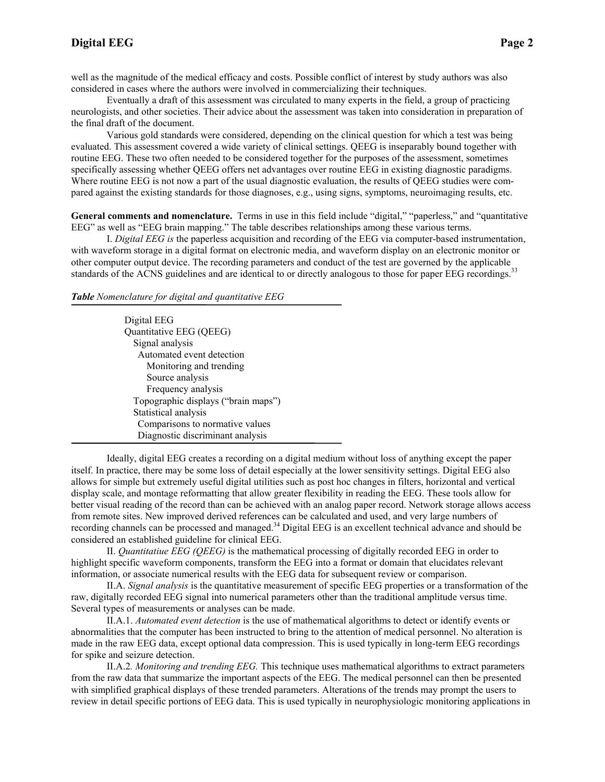well as the magnitude of the medical efficacy and costs. Possible conflict of interest by study authors was also considered in cases where the authors were involved in commercializing their techniques.

Eventually a draft of this assessment was circulated to many experts in the field, a group of practicing neurologists, and other societies. Their advice about the assessment was taken into consideration in preparation of the final draft of the document.

Various gold standards were considered, depending on the clinical question for which a test was being evaluated. This assessment covered a wide variety of clinical settings. QEEG is inseparably bound together with routine EEG. These two often needed to be considered together for the purposes of the assessment, sometimes specifically assessing whether QEEG offers net advantages over routine EEG in existing diagnostic paradigms. Where routine EEG is not now a part of the usual diagnostic evaluation, the results of QEEG studies were compared against the existing standards for those diagnoses, e.g., using signs, symptoms, neuroimaging results, etc.

**General comments and nomenclature.** Terms in use in this field include "digital," "paperless," and "quantitative EEG" as well as "EEG brain mapping." The table describes relationships among these various terms.

 I. *Digital EEG is* the paperless acquisition and recording of the EEG via computer-based instrumentation, with waveform storage in a digital format on electronic media, and waveform display on an electronic monitor or other computer output device. The recording parameters and conduct of the test are governed by the applicable standards of the ACNS guidelines and are identical to or directly analogous to those for paper EEG recordings.<sup>33</sup>

#### *Table Nomenclature for digital and quantitative EEG*

 Digital EEG Quantitative EEG (QEEG) Signal analysis Automated event detection Monitoring and trending Source analysis Frequency analysis Topographic displays ("brain maps") Statistical analysis Comparisons to normative values Diagnostic discriminant analysis

Ideally, digital EEG creates a recording on a digital medium without loss of anything except the paper itself. In practice, there may be some loss of detail especially at the lower sensitivity settings. Digital EEG also allows for simple but extremely useful digital utilities such as post hoc changes in filters, horizontal and vertical display scale, and montage reformatting that allow greater flexibility in reading the EEG. These tools allow for better visual reading of the record than can be achieved with an analog paper record. Network storage allows access from remote sites. New improved derived references can be calculated and used, and very large numbers of recording channels can be processed and managed.34 Digital EEG is an excellent technical advance and should be considered an established guideline for clinical EEG.

 II. *Quantitatiue EEG (QEEG)* is the mathematical processing of digitally recorded EEG in order to highlight specific waveform components, transform the EEG into a format or domain that elucidates relevant information, or associate numerical results with the EEG data for subsequent review or comparison.

 II.A. *Signal analysis* is the quantitative measurement of specific EEG properties or a transformation of the raw, digitally recorded EEG signal into numerical parameters other than the traditional amplitude versus time. Several types of measurements or analyses can be made.

 II.A.1. *Automated event detection* is the use of mathematical algorithms to detect or identify events or abnormalities that the computer has been instructed to bring to the attention of medical personnel. No alteration is made in the raw EEG data, except optional data compression. This is used typically in long-term EEG recordings for spike and seizure detection.

 II.A.2*. Monitoring and trending EEG.* This technique uses mathematical algorithms to extract parameters from the raw data that summarize the important aspects of the EEG. The medical personnel can then be presented with simplified graphical displays of these trended parameters. Alterations of the trends may prompt the users to review in detail specific portions of EEG data. This is used typically in neurophysiologic monitoring applications in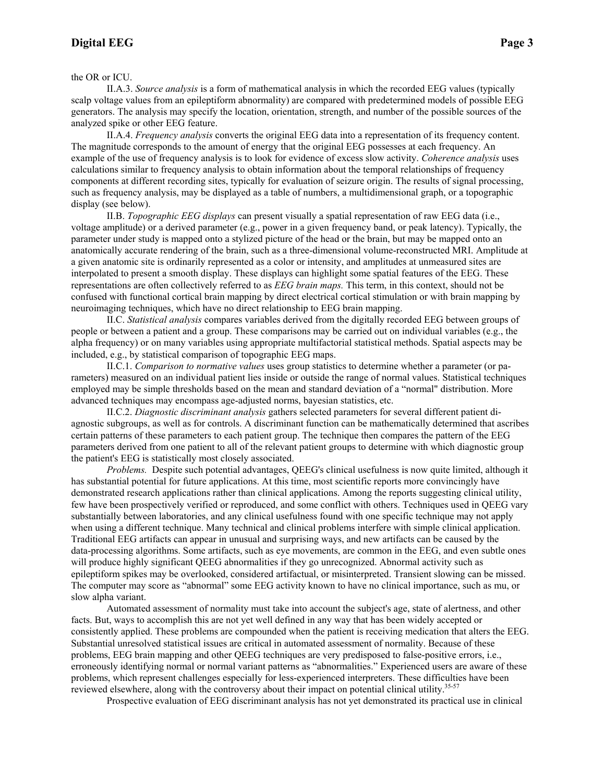the OR or ICU.

 II.A.3. *Source analysis* is a form of mathematical analysis in which the recorded EEG values (typically scalp voltage values from an epileptiform abnormality) are compared with predetermined models of possible EEG generators. The analysis may specify the location, orientation, strength, and number of the possible sources of the analyzed spike or other EEG feature.

 II.A.4. *Frequency analysis* converts the original EEG data into a representation of its frequency content. The magnitude corresponds to the amount of energy that the original EEG possesses at each frequency. An example of the use of frequency analysis is to look for evidence of excess slow activity. *Coherence analysis* uses calculations similar to frequency analysis to obtain information about the temporal relationships of frequency components at different recording sites, typically for evaluation of seizure origin. The results of signal processing, such as frequency analysis, may be displayed as a table of numbers, a multidimensional graph, or a topographic display (see below).

 II.B. *Topographic EEG displays* can present visually a spatial representation of raw EEG data (i.e., voltage amplitude) or a derived parameter (e.g., power in a given frequency band, or peak latency). Typically, the parameter under study is mapped onto a stylized picture of the head or the brain, but may be mapped onto an anatomically accurate rendering of the brain, such as a three-dimensional volume-reconstructed MRI. Amplitude at a given anatomic site is ordinarily represented as a color or intensity, and amplitudes at unmeasured sites are interpolated to present a smooth display. These displays can highlight some spatial features of the EEG. These representations are often collectively referred to as *EEG brain maps.* This term, in this context, should not be confused with functional cortical brain mapping by direct electrical cortical stimulation or with brain mapping by neuroimaging techniques, which have no direct relationship to EEG brain mapping.

 II.C. *Statistical analysis* compares variables derived from the digitally recorded EEG between groups of people or between a patient and a group. These comparisons may be carried out on individual variables (e.g., the alpha frequency) or on many variables using appropriate multifactorial statistical methods. Spatial aspects may be included, e.g., by statistical comparison of topographic EEG maps.

II.C.1. *Comparison to normative values* uses group statistics to determine whether a parameter (or parameters) measured on an individual patient lies inside or outside the range of normal values. Statistical techniques employed may be simple thresholds based on the mean and standard deviation of a "normal" distribution. More advanced techniques may encompass age-adjusted norms, bayesian statistics, etc.

 II.C.2. *Diagnostic discriminant analysis* gathers selected parameters for several different patient diagnostic subgroups, as well as for controls. A discriminant function can be mathematically determined that ascribes certain patterns of these parameters to each patient group. The technique then compares the pattern of the EEG parameters derived from one patient to all of the relevant patient groups to determine with which diagnostic group the patient's EEG is statistically most closely associated.

*Problems.* Despite such potential advantages, QEEG's clinical usefulness is now quite limited, although it has substantial potential for future applications. At this time, most scientific reports more convincingly have demonstrated research applications rather than clinical applications. Among the reports suggesting clinical utility, few have been prospectively verified or reproduced, and some conflict with others. Techniques used in QEEG vary substantially between laboratories, and any clinical usefulness found with one specific technique may not apply when using a different technique. Many technical and clinical problems interfere with simple clinical application. Traditional EEG artifacts can appear in unusual and surprising ways, and new artifacts can be caused by the data-processing algorithms. Some artifacts, such as eye movements, are common in the EEG, and even subtle ones will produce highly significant QEEG abnormalities if they go unrecognized. Abnormal activity such as epileptiform spikes may be overlooked, considered artifactual, or misinterpreted. Transient slowing can be missed. The computer may score as "abnormal" some EEG activity known to have no clinical importance, such as mu, or slow alpha variant.

 Automated assessment of normality must take into account the subject's age, state of alertness, and other facts. But, ways to accomplish this are not yet well defined in any way that has been widely accepted or consistently applied. These problems are compounded when the patient is receiving medication that alters the EEG. Substantial unresolved statistical issues are critical in automated assessment of normality. Because of these problems, EEG brain mapping and other QEEG techniques are very predisposed to false-positive errors, i.e., erroneously identifying normal or normal variant patterns as "abnormalities." Experienced users are aware of these problems, which represent challenges especially for less-experienced interpreters. These difficulties have been reviewed elsewhere, along with the controversy about their impact on potential clinical utility.<sup>35-57</sup>

Prospective evaluation of EEG discriminant analysis has not yet demonstrated its practical use in clinical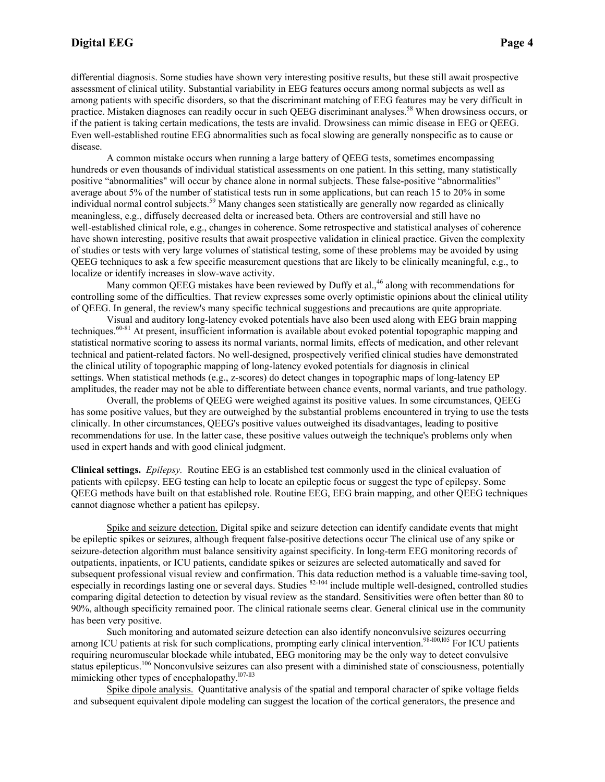differential diagnosis. Some studies have shown very interesting positive results, but these still await prospective assessment of clinical utility. Substantial variability in EEG features occurs among normal subjects as well as among patients with specific disorders, so that the discriminant matching of EEG features may be very difficult in practice. Mistaken diagnoses can readily occur in such QEEG discriminant analyses.58 When drowsiness occurs, or if the patient is taking certain medications, the tests are invalid. Drowsiness can mimic disease in EEG or QEEG. Even well-established routine EEG abnormalities such as focal slowing are generally nonspecific as to cause or disease.

 A common mistake occurs when running a large battery of QEEG tests, sometimes encompassing hundreds or even thousands of individual statistical assessments on one patient. In this setting, many statistically positive "abnormalities" will occur by chance alone in normal subjects. These false-positive "abnormalities" average about 5% of the number of statistical tests run in some applications, but can reach 15 to 20% in some individual normal control subjects.<sup>59</sup> Many changes seen statistically are generally now regarded as clinically meaningless, e.g., diffusely decreased delta or increased beta. Others are controversial and still have no well-established clinical role, e.g., changes in coherence. Some retrospective and statistical analyses of coherence have shown interesting, positive results that await prospective validation in clinical practice. Given the complexity of studies or tests with very large volumes of statistical testing, some of these problems may be avoided by using QEEG techniques to ask a few specific measurement questions that are likely to be clinically meaningful, e.g., to localize or identify increases in slow-wave activity.

Many common QEEG mistakes have been reviewed by Duffy et al.,<sup>46</sup> along with recommendations for controlling some of the difficulties. That review expresses some overly optimistic opinions about the clinical utility of QEEG. In general, the review's many specific technical suggestions and precautions are quite appropriate.

 Visual and auditory long-latency evoked potentials have also been used along with EEG brain mapping techniques.60-81 At present, insufficient information is available about evoked potential topographic mapping and statistical normative scoring to assess its normal variants, normal limits, effects of medication, and other relevant technical and patient-related factors. No well-designed, prospectively verified clinical studies have demonstrated the clinical utility of topographic mapping of long-latency evoked potentials for diagnosis in clinical settings. When statistical methods (e.g., z-scores) do detect changes in topographic maps of long-latency EP amplitudes, the reader may not be able to differentiate between chance events, normal variants, and true pathology.

 Overall, the problems of QEEG were weighed against its positive values. In some circumstances, QEEG has some positive values, but they are outweighed by the substantial problems encountered in trying to use the tests clinically. In other circumstances, QEEG's positive values outweighed its disadvantages, leading to positive recommendations for use. In the latter case, these positive values outweigh the technique's problems only when used in expert hands and with good clinical judgment.

**Clinical settings.** *Epilepsy.* Routine EEG is an established test commonly used in the clinical evaluation of patients with epilepsy. EEG testing can help to locate an epileptic focus or suggest the type of epilepsy. Some QEEG methods have built on that established role. Routine EEG, EEG brain mapping, and other QEEG techniques cannot diagnose whether a patient has epilepsy.

Spike and seizure detection. Digital spike and seizure detection can identify candidate events that might be epileptic spikes or seizures, although frequent false-positive detections occur The clinical use of any spike or seizure-detection algorithm must balance sensitivity against specificity. In long-term EEG monitoring records of outpatients, inpatients, or ICU patients, candidate spikes or seizures are selected automatically and saved for subsequent professional visual review and confirmation. This data reduction method is a valuable time-saving tool, especially in recordings lasting one or several days. Studies <sup>82-104</sup> include multiple well-designed, controlled studies comparing digital detection to detection by visual review as the standard. Sensitivities were often better than 80 to 90%, although specificity remained poor. The clinical rationale seems clear. General clinical use in the community has been very positive.

 Such monitoring and automated seizure detection can also identify nonconvulsive seizures occurring among ICU patients at risk for such complications, prompting early clinical intervention.<sup>98-l00,l05</sup> For ICU patients requiring neuromuscular blockade while intubated, EEG monitoring may be the only way to detect convulsive status epilepticus.<sup>106</sup> Nonconvulsive seizures can also present with a diminished state of consciousness, potentially mimicking other types of encephalopathy.<sup>107-113</sup>

Spike dipole analysis. Quantitative analysis of the spatial and temporal character of spike voltage fields and subsequent equivalent dipole modeling can suggest the location of the cortical generators, the presence and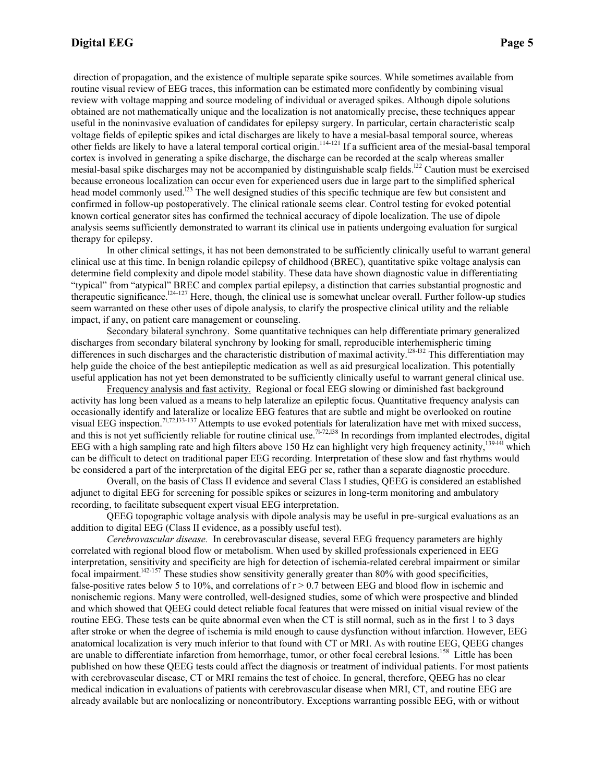direction of propagation, and the existence of multiple separate spike sources. While sometimes available from routine visual review of EEG traces, this information can be estimated more confidently by combining visual review with voltage mapping and source modeling of individual or averaged spikes. Although dipole solutions obtained are not mathematically unique and the localization is not anatomically precise, these techniques appear useful in the noninvasive evaluation of candidates for epilepsy surgery. In particular, certain characteristic scalp voltage fields of epileptic spikes and ictal discharges are likely to have a mesial-basal temporal source, whereas other fields are likely to have a lateral temporal cortical origin.114-121 If a sufficient area of the mesial-basal temporal cortex is involved in generating a spike discharge, the discharge can be recorded at the scalp whereas smaller mesial-basal spike discharges may not be accompanied by distinguishable scalp fields.<sup>122</sup> Caution must be exercised because erroneous localization can occur even for experienced users due in large part to the simplified spherical head model commonly used.<sup>123</sup> The well designed studies of this specific technique are few but consistent and confirmed in follow-up postoperatively. The clinical rationale seems clear. Control testing for evoked potential known cortical generator sites has confirmed the technical accuracy of dipole localization. The use of dipole analysis seems sufficiently demonstrated to warrant its clinical use in patients undergoing evaluation for surgical therapy for epilepsy.

 In other clinical settings, it has not been demonstrated to be sufficiently clinically useful to warrant general clinical use at this time. In benign rolandic epilepsy of childhood (BREC), quantitative spike voltage analysis can determine field complexity and dipole model stability. These data have shown diagnostic value in differentiating "typical" from "atypical" BREC and complex partial epilepsy, a distinction that carries substantial prognostic and therapeutic significance.<sup>[24-127</sup> Here, though, the clinical use is somewhat unclear overall. Further follow-up studies seem warranted on these other uses of dipole analysis, to clarify the prospective clinical utility and the reliable impact, if any, on patient care management or counseling.

Secondary bilateral synchrony. Some quantitative techniques can help differentiate primary generalized discharges from secondary bilateral synchrony by looking for small, reproducible interhemispheric timing differences in such discharges and the characteristic distribution of maximal activity.<sup>128-132</sup> This differentiation may help guide the choice of the best antiepileptic medication as well as aid presurgical localization. This potentially useful application has not yet been demonstrated to be sufficiently clinically useful to warrant general clinical use.

Frequency analysis and fast activity. Regional or focal EEG slowing or diminished fast background activity has long been valued as a means to help lateralize an epileptic focus. Quantitative frequency analysis can occasionally identify and lateralize or localize EEG features that are subtle and might be overlooked on routine visual EEG inspection.<sup>71,72,133-137</sup> Attempts to use evoked potentials for lateralization have met with mixed success, and this is not yet sufficiently reliable for routine clinical use.<sup>71-72,138</sup> In recordings from implanted electrodes, digital EEG with a high sampling rate and high filters above 150 Hz can highlight very high frequency actinity,<sup>139-141</sup> which can be difficult to detect on traditional paper EEG recording. Interpretation of these slow and fast rhythms would be considered a part of the interpretation of the digital EEG per se, rather than a separate diagnostic procedure.

 Overall, on the basis of Class II evidence and several Class I studies, QEEG is considered an established adjunct to digital EEG for screening for possible spikes or seizures in long-term monitoring and ambulatory recording, to facilitate subsequent expert visual EEG interpretation.

 QEEG topographic voltage analysis with dipole analysis may be useful in pre-surgical evaluations as an addition to digital EEG (Class II evidence, as a possibly useful test).

 *Cerebrovascular disease.* In cerebrovascular disease, several EEG frequency parameters are highly correlated with regional blood flow or metabolism. When used by skilled professionals experienced in EEG interpretation, sensitivity and specificity are high for detection of ischemia-related cerebral impairment or similar focal impairment.<sup> $142-157$ </sup> These studies show sensitivity generally greater than 80% with good specificities, false-positive rates below 5 to 10%, and correlations of  $r > 0.7$  between EEG and blood flow in ischemic and nonischemic regions. Many were controlled, well-designed studies, some of which were prospective and blinded and which showed that QEEG could detect reliable focal features that were missed on initial visual review of the routine EEG. These tests can be quite abnormal even when the CT is still normal, such as in the first 1 to 3 days after stroke or when the degree of ischemia is mild enough to cause dysfunction without infarction. However, EEG anatomical localization is very much inferior to that found with CT or MRI. As with routine EEG, QEEG changes are unable to differentiate infarction from hemorrhage, tumor, or other focal cerebral lesions.<sup>158</sup> Little has been published on how these QEEG tests could affect the diagnosis or treatment of individual patients. For most patients with cerebrovascular disease, CT or MRI remains the test of choice. In general, therefore, QEEG has no clear medical indication in evaluations of patients with cerebrovascular disease when MRI, CT, and routine EEG are already available but are nonlocalizing or noncontributory. Exceptions warranting possible EEG, with or without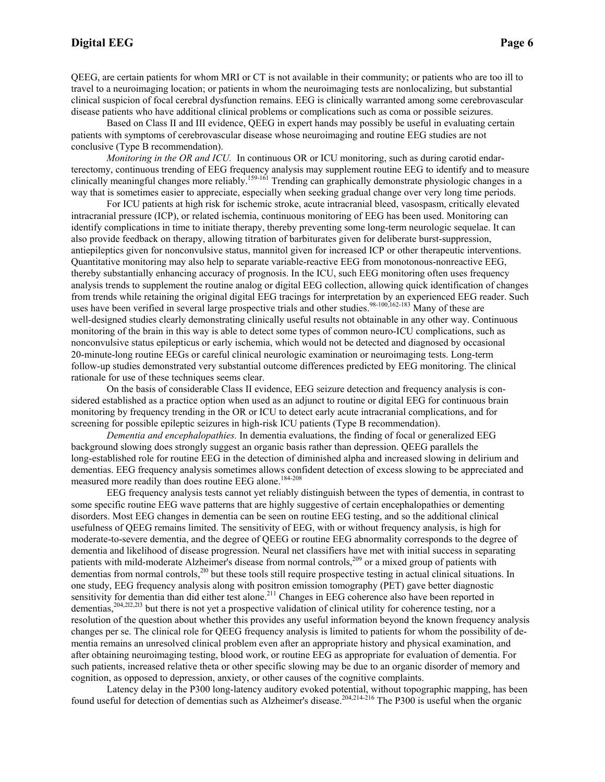QEEG, are certain patients for whom MRI or CT is not available in their community; or patients who are too ill to travel to a neuroimaging location; or patients in whom the neuroimaging tests are nonlocalizing, but substantial clinical suspicion of focal cerebral dysfunction remains. EEG is clinically warranted among some cerebrovascular disease patients who have additional clinical problems or complications such as coma or possible seizures.

 Based on Class II and III evidence, QEEG in expert hands may possibly be useful in evaluating certain patients with symptoms of cerebrovascular disease whose neuroimaging and routine EEG studies are not conclusive (Type B recommendation).

*Monitoring in the OR and ICU.* In continuous OR or ICU monitoring, such as during carotid endarterectomy, continuous trending of EEG frequency analysis may supplement routine EEG to identify and to measure clinically meaningful changes more reliably.159-161 Trending can graphically demonstrate physiologic changes in a way that is sometimes easier to appreciate, especially when seeking gradual change over very long time periods.

 For ICU patients at high risk for ischemic stroke, acute intracranial bleed, vasospasm, critically elevated intracranial pressure (ICP), or related ischemia, continuous monitoring of EEG has been used. Monitoring can identify complications in time to initiate therapy, thereby preventing some long-term neurologic sequelae. It can also provide feedback on therapy, allowing titration of barbiturates given for deliberate burst-suppression, antiepileptics given for nonconvulsive status, mannitol given for increased ICP or other therapeutic interventions. Quantitative monitoring may also help to separate variable-reactive EEG from monotonous-nonreactive EEG, thereby substantially enhancing accuracy of prognosis. In the ICU, such EEG monitoring often uses frequency analysis trends to supplement the routine analog or digital EEG collection, allowing quick identification of changes from trends while retaining the original digital EEG tracings for interpretation by an experienced EEG reader. Such uses have been verified in several large prospective trials and other studies.<sup>98-100,162-183</sup> Many of these are well-designed studies clearly demonstrating clinically useful results not obtainable in any other way. Continuous monitoring of the brain in this way is able to detect some types of common neuro-ICU complications, such as nonconvulsive status epilepticus or early ischemia, which would not be detected and diagnosed by occasional 20-minute-long routine EEGs or careful clinical neurologic examination or neuroimaging tests. Long-term follow-up studies demonstrated very substantial outcome differences predicted by EEG monitoring. The clinical rationale for use of these techniques seems clear.

 On the basis of considerable Class II evidence, EEG seizure detection and frequency analysis is considered established as a practice option when used as an adjunct to routine or digital EEG for continuous brain monitoring by frequency trending in the OR or ICU to detect early acute intracranial complications, and for screening for possible epileptic seizures in high-risk ICU patients (Type B recommendation).

*Dementia and encephalopathies.* In dementia evaluations, the finding of focal or generalized EEG background slowing does strongly suggest an organic basis rather than depression. QEEG parallels the long-established role for routine EEG in the detection of diminished alpha and increased slowing in delirium and dementias. EEG frequency analysis sometimes allows confident detection of excess slowing to be appreciated and measured more readily than does routine EEG alone.<sup>184-208</sup>

 EEG frequency analysis tests cannot yet reliably distinguish between the types of dementia, in contrast to some specific routine EEG wave patterns that are highly suggestive of certain encephalopathies or dementing disorders. Most EEG changes in dementia can be seen on routine EEG testing, and so the additional clinical usefulness of QEEG remains limited. The sensitivity of EEG, with or without frequency analysis, is high for moderate-to-severe dementia, and the degree of QEEG or routine EEG abnormality corresponds to the degree of dementia and likelihood of disease progression. Neural net classifiers have met with initial success in separating patients with mild-moderate Alzheimer's disease from normal controls,<sup>209</sup> or a mixed group of patients with dementias from normal controls,<sup>210</sup> but these tools still require prospective testing in actual clinical situations. In one study, EEG frequency analysis along with positron emission tomography (PET) gave better diagnostic sensitivity for dementia than did either test alone.<sup>211</sup> Changes in EEG coherence also have been reported in dementias,<sup>204,212,213</sup> but there is not yet a prospective validation of clinical utility for coherence testing, nor a resolution of the question about whether this provides any useful information beyond the known frequency analysis changes per se. The clinical role for QEEG frequency analysis is limited to patients for whom the possibility of dementia remains an unresolved clinical problem even after an appropriate history and physical examination, and after obtaining neuroimaging testing, blood work, or routine EEG as appropriate for evaluation of dementia. For such patients, increased relative theta or other specific slowing may be due to an organic disorder of memory and cognition, as opposed to depression, anxiety, or other causes of the cognitive complaints.

 Latency delay in the P300 long-latency auditory evoked potential, without topographic mapping, has been found useful for detection of dementias such as Alzheimer's disease.<sup>204,214-216</sup> The P300 is useful when the organic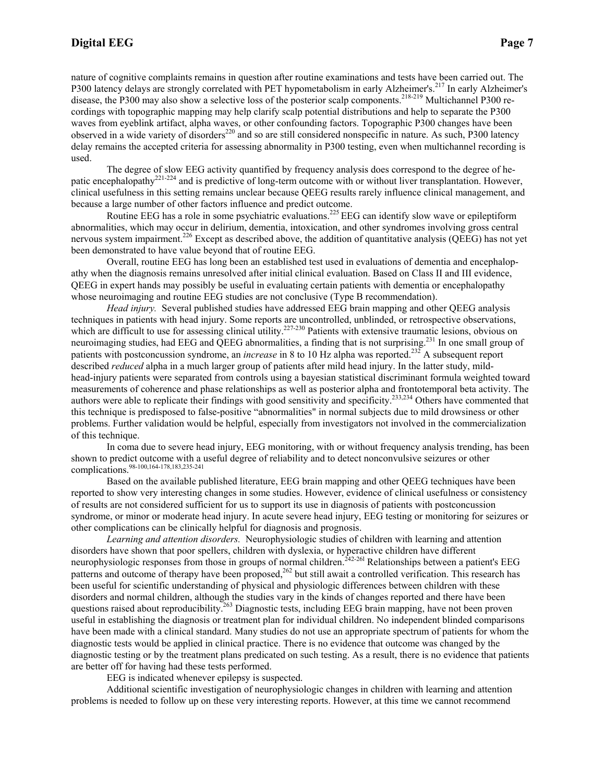nature of cognitive complaints remains in question after routine examinations and tests have been carried out. The P300 latency delays are strongly correlated with PET hypometabolism in early Alzheimer's.<sup>217</sup> In early Alzheimer's disease, the P300 may also show a selective loss of the posterior scalp components.<sup>218-219</sup> Multichannel P300 recordings with topographic mapping may help clarify scalp potential distributions and help to separate the P300 waves from eyeblink artifact, alpha waves, or other confounding factors. Topographic P300 changes have been observed in a wide variety of disorders<sup>220</sup> and so are still considered nonspecific in nature. As such, P300 latency delay remains the accepted criteria for assessing abnormality in P300 testing, even when multichannel recording is used.

 The degree of slow EEG activity quantified by frequency analysis does correspond to the degree of hepatic encephalopathy<sup>221-224</sup> and is predictive of long-term outcome with or without liver transplantation. However, clinical usefulness in this setting remains unclear because QEEG results rarely influence clinical management, and because a large number of other factors influence and predict outcome.

Routine EEG has a role in some psychiatric evaluations.<sup>225</sup> EEG can identify slow wave or epileptiform abnormalities, which may occur in delirium, dementia, intoxication, and other syndromes involving gross central nervous system impairment.<sup>226</sup> Except as described above, the addition of quantitative analysis (QEEG) has not yet been demonstrated to have value beyond that of routine EEG.

 Overall, routine EEG has long been an established test used in evaluations of dementia and encephalopathy when the diagnosis remains unresolved after initial clinical evaluation. Based on Class II and III evidence, QEEG in expert hands may possibly be useful in evaluating certain patients with dementia or encephalopathy whose neuroimaging and routine EEG studies are not conclusive (Type B recommendation).

*Head injury.* Several published studies have addressed EEG brain mapping and other QEEG analysis techniques in patients with head injury. Some reports are uncontrolled, unblinded, or retrospective observations, which are difficult to use for assessing clinical utility.<sup>227-230</sup> Patients with extensive traumatic lesions, obvious on neuroimaging studies, had EEG and QEEG abnormalities, a finding that is not surprising.<sup>231</sup> In one small group of patients with postconcussion syndrome, an *increase* in 8 to 10 Hz alpha was reported.232 A subsequent report described *reduced* alpha in a much larger group of patients after mild head injury. In the latter study, mildhead-injury patients were separated from controls using a bayesian statistical discriminant formula weighted toward measurements of coherence and phase relationships as well as posterior alpha and frontotemporal beta activity. The authors were able to replicate their findings with good sensitivity and specificity.<sup>233,234</sup> Others have commented that this technique is predisposed to false-positive "abnormalities" in normal subjects due to mild drowsiness or other problems. Further validation would be helpful, especially from investigators not involved in the commercialization of this technique.

 In coma due to severe head injury, EEG monitoring, with or without frequency analysis trending, has been shown to predict outcome with a useful degree of reliability and to detect nonconvulsive seizures or other complications.<sup>98-100,164-178,183,235-241</sup>

 Based on the available published literature, EEG brain mapping and other QEEG techniques have been reported to show very interesting changes in some studies. However, evidence of clinical usefulness or consistency of results are not considered sufficient for us to support its use in diagnosis of patients with postconcussion syndrome, or minor or moderate head injury. In acute severe head injury, EEG testing or monitoring for seizures or other complications can be clinically helpful for diagnosis and prognosis.

*Learning and attention disorders.* Neurophysiologic studies of children with learning and attention disorders have shown that poor spellers, children with dyslexia, or hyperactive children have different neurophysiologic responses from those in groups of normal children.<sup>242-261</sup> Relationships between a patient's EEG patterns and outcome of therapy have been proposed,<sup>262</sup> but still await a controlled verification. This research has been useful for scientific understanding of physical and physiologic differences between children with these disorders and normal children, although the studies vary in the kinds of changes reported and there have been questions raised about reproducibility.<sup>263</sup> Diagnostic tests, including EEG brain mapping, have not been proven useful in establishing the diagnosis or treatment plan for individual children. No independent blinded comparisons have been made with a clinical standard. Many studies do not use an appropriate spectrum of patients for whom the diagnostic tests would be applied in clinical practice. There is no evidence that outcome was changed by the diagnostic testing or by the treatment plans predicated on such testing. As a result, there is no evidence that patients are better off for having had these tests performed.

EEG is indicated whenever epilepsy is suspected.

 Additional scientific investigation of neurophysiologic changes in children with learning and attention problems is needed to follow up on these very interesting reports. However, at this time we cannot recommend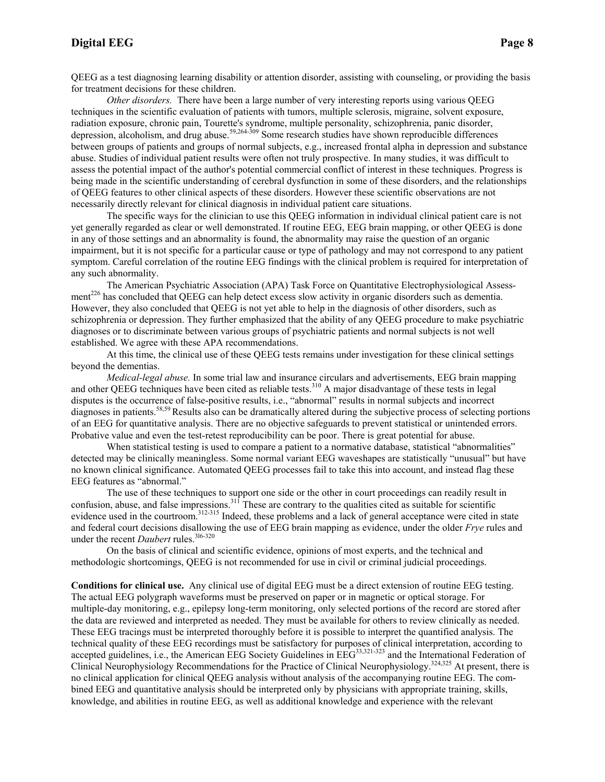QEEG as a test diagnosing learning disability or attention disorder, assisting with counseling, or providing the basis for treatment decisions for these children.

*Other disorders.* There have been a large number of very interesting reports using various QEEG techniques in the scientific evaluation of patients with tumors, multiple sclerosis, migraine, solvent exposure, radiation exposure, chronic pain, Tourette's syndrome, multiple personality, schizophrenia, panic disorder, depression, alcoholism, and drug abuse.<sup>59,264-309</sup> Some research studies have shown reproducible differences between groups of patients and groups of normal subjects, e.g., increased frontal alpha in depression and substance abuse. Studies of individual patient results were often not truly prospective. In many studies, it was difficult to assess the potential impact of the author's potential commercial conflict of interest in these techniques. Progress is being made in the scientific understanding of cerebral dysfunction in some of these disorders, and the relationships of QEEG features to other clinical aspects of these disorders. However these scientific observations are not necessarily directly relevant for clinical diagnosis in individual patient care situations.

 The specific ways for the clinician to use this QEEG information in individual clinical patient care is not yet generally regarded as clear or well demonstrated. If routine EEG, EEG brain mapping, or other QEEG is done in any of those settings and an abnormality is found, the abnormality may raise the question of an organic impairment, but it is not specific for a particular cause or type of pathology and may not correspond to any patient symptom. Careful correlation of the routine EEG findings with the clinical problem is required for interpretation of any such abnormality.

 The American Psychiatric Association (APA) Task Force on Quantitative Electrophysiological Assessment<sup>226</sup> has concluded that QEEG can help detect excess slow activity in organic disorders such as dementia. However, they also concluded that QEEG is not yet able to help in the diagnosis of other disorders, such as schizophrenia or depression. They further emphasized that the ability of any QEEG procedure to make psychiatric diagnoses or to discriminate between various groups of psychiatric patients and normal subjects is not well established. We agree with these APA recommendations.

 At this time, the clinical use of these QEEG tests remains under investigation for these clinical settings beyond the dementias.

*Medical-legal abuse.* In some trial law and insurance circulars and advertisements, EEG brain mapping and other QEEG techniques have been cited as reliable tests.<sup>310</sup> A major disadvantage of these tests in legal disputes is the occurrence of false-positive results, i.e., "abnormal" results in normal subjects and incorrect diagnoses in patients.58,59 Results also can be dramatically altered during the subjective process of selecting portions of an EEG for quantitative analysis. There are no objective safeguards to prevent statistical or unintended errors. Probative value and even the test-retest reproducibility can be poor. There is great potential for abuse.

When statistical testing is used to compare a patient to a normative database, statistical "abnormalities" detected may be clinically meaningless. Some normal variant EEG waveshapes are statistically "unusual" but have no known clinical significance. Automated QEEG processes fail to take this into account, and instead flag these EEG features as "abnormal."

 The use of these techniques to support one side or the other in court proceedings can readily result in confusion, abuse, and false impressions.<sup>311</sup> These are contrary to the qualities cited as suitable for scientific evidence used in the courtroom.<sup>312-315</sup> Indeed, these problems and a lack of general acceptance were cited in state and federal court decisions disallowing the use of EEG brain mapping as evidence, under the older *Frye* rules and under the recent *Daubert* rules.<sup>316-320</sup>

On the basis of clinical and scientific evidence, opinions of most experts, and the technical and methodologic shortcomings, QEEG is not recommended for use in civil or criminal judicial proceedings.

**Conditions for clinical use.** Any clinical use of digital EEG must be a direct extension of routine EEG testing. The actual EEG polygraph waveforms must be preserved on paper or in magnetic or optical storage. For multiple-day monitoring, e.g., epilepsy long-term monitoring, only selected portions of the record are stored after the data are reviewed and interpreted as needed. They must be available for others to review clinically as needed. These EEG tracings must be interpreted thoroughly before it is possible to interpret the quantified analysis. The technical quality of these EEG recordings must be satisfactory for purposes of clinical interpretation, according to accepted guidelines, i.e., the American EEG Society Guidelines in  $EEG^{33,321-323}$  and the International Federation of Clinical Neurophysiology Recommendations for the Practice of Clinical Neurophysiology.<sup>324,325</sup> At present, there is no clinical application for clinical QEEG analysis without analysis of the accompanying routine EEG. The combined EEG and quantitative analysis should be interpreted only by physicians with appropriate training, skills, knowledge, and abilities in routine EEG, as well as additional knowledge and experience with the relevant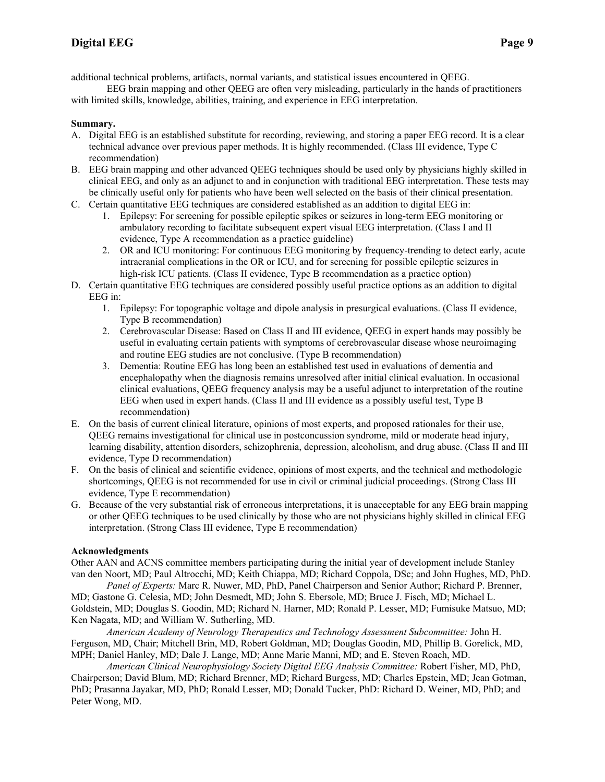additional technical problems, artifacts, normal variants, and statistical issues encountered in QEEG.

 EEG brain mapping and other QEEG are often very misleading, particularly in the hands of practitioners with limited skills, knowledge, abilities, training, and experience in EEG interpretation.

### **Summary.**

- A. Digital EEG is an established substitute for recording, reviewing, and storing a paper EEG record. It is a clear technical advance over previous paper methods. It is highly recommended. (Class III evidence, Type C recommendation)
- B. EEG brain mapping and other advanced QEEG techniques should be used only by physicians highly skilled in clinical EEG, and only as an adjunct to and in conjunction with traditional EEG interpretation. These tests may be clinically useful only for patients who have been well selected on the basis of their clinical presentation.
- C. Certain quantitative EEG techniques are considered established as an addition to digital EEG in:
	- 1. Epilepsy: For screening for possible epileptic spikes or seizures in long-term EEG monitoring or ambulatory recording to facilitate subsequent expert visual EEG interpretation. (Class I and II evidence, Type A recommendation as a practice guideline)
	- 2. OR and ICU monitoring: For continuous EEG monitoring by frequency-trending to detect early, acute intracranial complications in the OR or ICU, and for screening for possible epileptic seizures in high-risk ICU patients. (Class II evidence, Type B recommendation as a practice option)
- D. Certain quantitative EEG techniques are considered possibly useful practice options as an addition to digital EEG in:
	- 1. Epilepsy: For topographic voltage and dipole analysis in presurgical evaluations. (Class II evidence, Type B recommendation)
	- 2. Cerebrovascular Disease: Based on Class II and III evidence, QEEG in expert hands may possibly be useful in evaluating certain patients with symptoms of cerebrovascular disease whose neuroimaging and routine EEG studies are not conclusive. (Type B recommendation)
	- 3. Dementia: Routine EEG has long been an established test used in evaluations of dementia and encephalopathy when the diagnosis remains unresolved after initial clinical evaluation. In occasional clinical evaluations, QEEG frequency analysis may be a useful adjunct to interpretation of the routine EEG when used in expert hands. (Class II and III evidence as a possibly useful test, Type B recommendation)
- E. On the basis of current clinical literature, opinions of most experts, and proposed rationales for their use, QEEG remains investigational for clinical use in postconcussion syndrome, mild or moderate head injury, learning disability, attention disorders, schizophrenia, depression, alcoholism, and drug abuse. (Class II and III evidence, Type D recommendation)
- F. On the basis of clinical and scientific evidence, opinions of most experts, and the technical and methodologic shortcomings, QEEG is not recommended for use in civil or criminal judicial proceedings. (Strong Class III evidence, Type E recommendation)
- G. Because of the very substantial risk of erroneous interpretations, it is unacceptable for any EEG brain mapping or other QEEG techniques to be used clinically by those who are not physicians highly skilled in clinical EEG interpretation. (Strong Class III evidence, Type E recommendation)

### **Acknowledgments**

Other AAN and ACNS committee members participating during the initial year of development include Stanley van den Noort, MD; Paul Altrocchi, MD; Keith Chiappa, MD; Richard Coppola, DSc; and John Hughes, MD, PhD.

*Panel of Experts:* Marc R. Nuwer, MD, PhD, Panel Chairperson and Senior Author; Richard P. Brenner, MD; Gastone G. Celesia, MD; John Desmedt, MD; John S. Ebersole, MD; Bruce J. Fisch, MD; Michael L. Goldstein, MD; Douglas S. Goodin, MD; Richard N. Harner, MD; Ronald P. Lesser, MD; Fumisuke Matsuo, MD; Ken Nagata, MD; and William W. Sutherling, MD.

 *American Academy of Neurology Therapeutics and Technology Assessment Subcommittee:* John H. Ferguson, MD, Chair; Mitchell Brin, MD, Robert Goldman, MD; Douglas Goodin, MD, Phillip B. Gorelick, MD, MPH; Daniel Hanley, MD; Dale J. Lange, MD; Anne Marie Manni, MD; and E. Steven Roach, MD.

 *American Clinical Neurophysiology Society Digital EEG Analysis Committee:* Robert Fisher, MD, PhD, Chairperson; David Blum, MD; Richard Brenner, MD; Richard Burgess, MD; Charles Epstein, MD; Jean Gotman, PhD; Prasanna Jayakar, MD, PhD; Ronald Lesser, MD; Donald Tucker, PhD: Richard D. Weiner, MD, PhD; and Peter Wong, MD.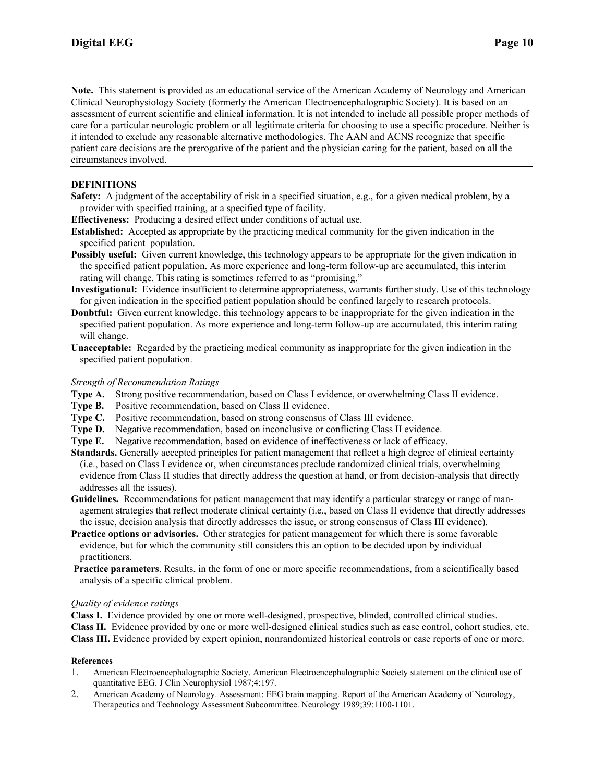**Note.** This statement is provided as an educational service of the American Academy of Neurology and American Clinical Neurophysiology Society (formerly the American Electroencephalographic Society). It is based on an assessment of current scientific and clinical information. It is not intended to include all possible proper methods of care for a particular neurologic problem or all legitimate criteria for choosing to use a specific procedure. Neither is it intended to exclude any reasonable alternative methodologies. The AAN and ACNS recognize that specific patient care decisions are the prerogative of the patient and the physician caring for the patient, based on all the circumstances involved.

#### **DEFINITIONS**

- **Safety:** A judgment of the acceptability of risk in a specified situation, e.g., for a given medical problem, by a provider with specified training, at a specified type of facility.
- **Effectiveness:** Producing a desired effect under conditions of actual use.
- **Established:** Accepted as appropriate by the practicing medical community for the given indication in the specified patient population.
- **Possibly useful:** Given current knowledge, this technology appears to be appropriate for the given indication in the specified patient population. As more experience and long-term follow-up are accumulated, this interim rating will change. This rating is sometimes referred to as "promising."
- **Investigational:** Evidence insufficient to determine appropriateness, warrants further study. Use of this technology for given indication in the specified patient population should be confined largely to research protocols.
- **Doubtful:** Given current knowledge, this technology appears to be inappropriate for the given indication in the specified patient population. As more experience and long-term follow-up are accumulated, this interim rating will change.
- **Unacceptable:** Regarded by the practicing medical community as inappropriate for the given indication in the specified patient population.

#### *Strength of Recommendation Ratings*

- **Type A.** Strong positive recommendation, based on Class I evidence, or overwhelming Class II evidence.
- **Type B.** Positive recommendation, based on Class II evidence.
- **Type C.** Positive recommendation, based on strong consensus of Class III evidence.
- **Type D.** Negative recommendation, based on inconclusive or conflicting Class II evidence.
- **Type E.** Negative recommendation, based on evidence of ineffectiveness or lack of efficacy.
- **Standards.** Generally accepted principles for patient management that reflect a high degree of clinical certainty (i.e., based on Class I evidence or, when circumstances preclude randomized clinical trials, overwhelming evidence from Class II studies that directly address the question at hand, or from decision-analysis that directly addresses all the issues).
- **Guidelines.** Recommendations for patient management that may identify a particular strategy or range of management strategies that reflect moderate clinical certainty (i.e., based on Class II evidence that directly addresses the issue, decision analysis that directly addresses the issue, or strong consensus of Class III evidence).
- **Practice options or advisories.** Other strategies for patient management for which there is some favorable evidence, but for which the community still considers this an option to be decided upon by individual practitioners.
- **Practice parameters**. Results, in the form of one or more specific recommendations, from a scientifically based analysis of a specific clinical problem.

#### *Quality of evidence ratings*

**Class I.** Evidence provided by one or more well-designed, prospective, blinded, controlled clinical studies. **Class II.** Evidence provided by one or more well-designed clinical studies such as case control, cohort studies, etc. **Class III.** Evidence provided by expert opinion, nonrandomized historical controls or case reports of one or more.

#### **References**

- 1. American Electroencephalographic Society. American Electroencephalographic Society statement on the clinical use of quantitative EEG. J Clin Neurophysiol 1987;4:197.
- 2. American Academy of Neurology. Assessment: EEG brain mapping. Report of the American Academy of Neurology, Therapeutics and Technology Assessment Subcommittee. Neurology 1989;39:1100-1101.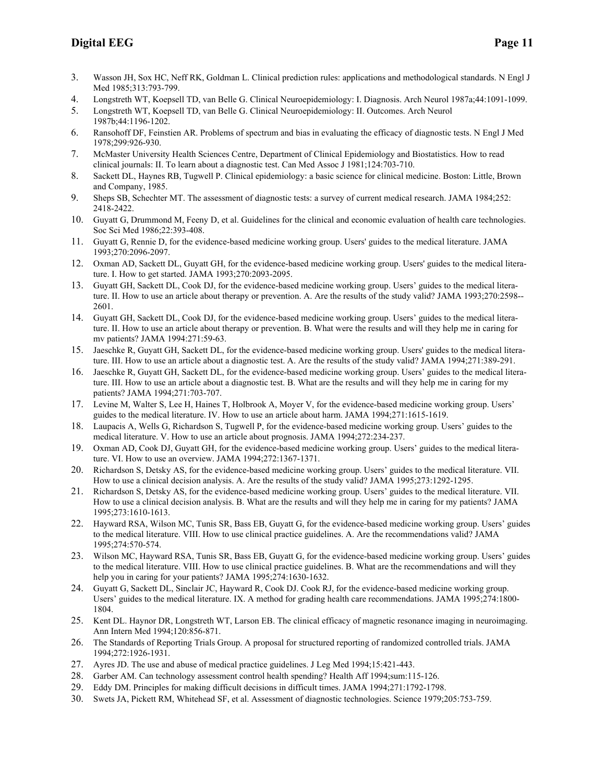- 3. Wasson JH, Sox HC, Neff RK, Goldman L. Clinical prediction rules: applications and methodological standards. N Engl J Med 1985;313:793-799.
- 4. Longstreth WT, Koepsell TD, van Belle G. Clinical Neuroepidemiology: I. Diagnosis. Arch Neurol 1987a;44:1091-1099.
- 5. Longstreth WT, Koepsell TD, van Belle G. Clinical Neuroepidemiology: II. Outcomes. Arch Neurol 1987b;44:1196-1202.
- 6. Ransohoff DF, Feinstien AR. Problems of spectrum and bias in evaluating the efficacy of diagnostic tests. N Engl J Med 1978;299:926-930.
- 7. McMaster University Health Sciences Centre, Department of Clinical Epidemiology and Biostatistics. How to read clinical journals: II. To learn about a diagnostic test. Can Med Assoc J 1981;124:703-710.
- 8. Sackett DL, Haynes RB, Tugwell P. Clinical epidemiology: a basic science for clinical medicine. Boston: Little, Brown and Company, 1985.
- 9. Sheps SB, Schechter MT. The assessment of diagnostic tests: a survey of current medical research. JAMA 1984;252: 2418-2422.
- 10. Guyatt G, Drummond M, Feeny D, et al. Guidelines for the clinical and economic evaluation of health care technologies. Soc Sci Med 1986;22:393-408.
- 11. Guyatt G, Rennie D, for the evidence-based medicine working group. Users' guides to the medical literature. JAMA 1993;270:2096-2097.
- 12. Oxman AD, Sackett DL, Guyatt GH, for the evidence-based medicine working group. Users' guides to the medical literature. I. How to get started. JAMA 1993;270:2093-2095.
- 13. Guyatt GH, Sackett DL, Cook DJ, for the evidence-based medicine working group. Users' guides to the medical literature. II. How to use an article about therapy or prevention. A. Are the results of the study valid? JAMA 1993;270:2598-- 2601.
- 14. Guyatt GH, Sackett DL, Cook DJ, for the evidence-based medicine working group. Users' guides to the medical literature. II. How to use an article about therapy or prevention. B. What were the results and will they help me in caring for mv patients? JAMA 1994:271:59-63.
- 15. Jaeschke R, Guyatt GH, Sackett DL, for the evidence-based medicine working group. Users' guides to the medical literature. III. How to use an article about a diagnostic test. A. Are the results of the study valid? JAMA 1994;271:389-291.
- 16. Jaeschke R, Guyatt GH, Sackett DL, for the evidence-based medicine working group. Users' guides to the medical literature. III. How to use an article about a diagnostic test. B. What are the results and will they help me in caring for my patients? JAMA 1994;271:703-707.
- 17. Levine M, Walter S, Lee H, Haines T, Holbrook A, Moyer V, for the evidence-based medicine working group. Users' guides to the medical literature. IV. How to use an article about harm. JAMA 1994;271:1615-1619.
- 18. Laupacis A, Wells G, Richardson S, Tugwell P, for the evidence-based medicine working group. Users' guides to the medical literature. V. How to use an article about prognosis. JAMA 1994;272:234-237.
- 19. Oxman AD, Cook DJ, Guyatt GH, for the evidence-based medicine working group. Users' guides to the medical literature. VI. How to use an overview. JAMA 1994;272:1367-1371.
- 20. Richardson S, Detsky AS, for the evidence-based medicine working group. Users' guides to the medical literature. VII. How to use a clinical decision analysis. A. Are the results of the study valid? JAMA 1995;273:1292-1295.
- 21. Richardson S, Detsky AS, for the evidence-based medicine working group. Users' guides to the medical literature. VII. How to use a clinical decision analysis. B. What are the results and will they help me in caring for my patients? JAMA 1995;273:1610-1613.
- 22. Hayward RSA, Wilson MC, Tunis SR, Bass EB, Guyatt G, for the evidence-based medicine working group. Users' guides to the medical literature. VIII. How to use clinical practice guidelines. A. Are the recommendations valid? JAMA 1995;274:570-574.
- 23. Wilson MC, Hayward RSA, Tunis SR, Bass EB, Guyatt G, for the evidence-based medicine working group. Users' guides to the medical literature. VIII. How to use clinical practice guidelines. B. What are the recommendations and will they help you in caring for your patients? JAMA 1995;274:1630-1632.
- 24. Guyatt G, Sackett DL, Sinclair JC, Hayward R, Cook DJ. Cook RJ, for the evidence-based medicine working group. Users' guides to the medical literature. IX. A method for grading health care recommendations. JAMA 1995;274:1800- 1804.
- 25. Kent DL. Haynor DR, Longstreth WT, Larson EB. The clinical efficacy of magnetic resonance imaging in neuroimaging. Ann Intern Med 1994;120:856-871.
- 26. The Standards of Reporting Trials Group. A proposal for structured reporting of randomized controlled trials. JAMA 1994;272:1926-1931.
- 27. Ayres JD. The use and abuse of medical practice guidelines. J Leg Med 1994;15:421-443.
- 28. Garber AM. Can technology assessment control health spending? Health Aff 1994;sum:115-126.
- 29. Eddy DM. Principles for making difficult decisions in difficult times. JAMA 1994;271:1792-1798.
- 30. Swets JA, Pickett RM, Whitehead SF, et al. Assessment of diagnostic technologies. Science 1979;205:753-759.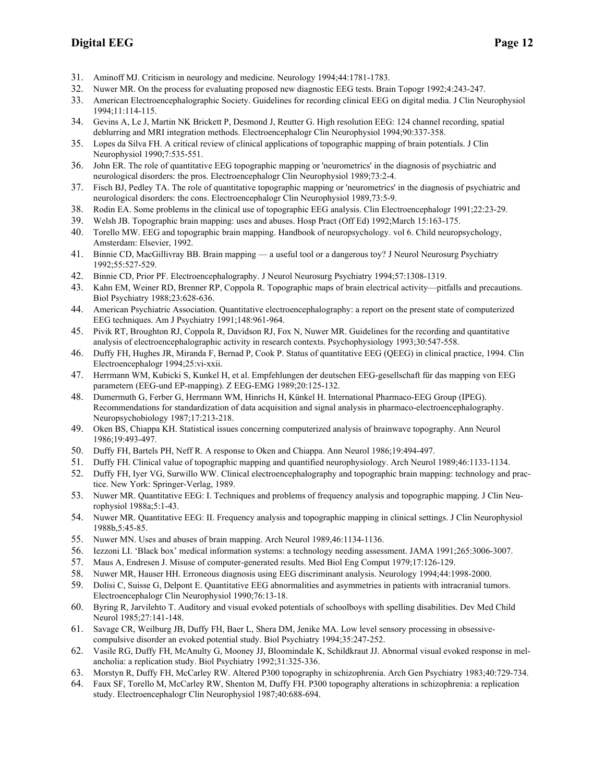- 31. Aminoff MJ. Criticism in neurology and medicine. Neurology 1994;44:1781-1783.
- 32. Nuwer MR. On the process for evaluating proposed new diagnostic EEG tests. Brain Topogr 1992;4:243-247.
- 33. American Electroencephalographic Society. Guidelines for recording clinical EEG on digital media. J Clin Neurophysiol 1994;11:114-115.
- 34. Gevins A, Le J, Martin NK Brickett P, Desmond J, Reutter G. High resolution EEG: 124 channel recording, spatial deblurring and MRI integration methods. Electroencephalogr Clin Neurophysiol 1994;90:337-358.
- 35. Lopes da Silva FH. A critical review of clinical applications of topographic mapping of brain potentials. J Clin Neurophysiol 1990;7:535-551.
- 36. John ER. The role of quantitative EEG topographic mapping or 'neurometrics' in the diagnosis of psychiatric and neurological disorders: the pros. Electroencephalogr Clin Neurophysiol 1989;73:2-4.
- 37. Fisch BJ, Pedley TA. The role of quantitative topographic mapping or 'neurometrics' in the diagnosis of psychiatric and neurological disorders: the cons. Electroencephalogr Clin Neurophysiol 1989,73:5-9.
- 38. Rodin EA. Some problems in the clinical use of topographic EEG analysis. Clin Electroencephalogr 1991;22:23-29.
- 39. Welsh JB. Topographic brain mapping: uses and abuses. Hosp Pract (Off Ed) 1992;March 15:163-175.
- 40. Torello MW. EEG and topographic brain mapping. Handbook of neuropsychology. vol 6. Child neuropsychology, Amsterdam: Elsevier, 1992.
- 41. Binnie CD, MacGillivray BB. Brain mapping a useful tool or a dangerous toy? J Neurol Neurosurg Psychiatry 1992;55:527-529.
- 42. Binnie CD, Prior PF. Electroencephalography. J Neurol Neurosurg Psychiatry 1994;57:1308-1319.
- 43. Kahn EM, Weiner RD, Brenner RP, Coppola R. Topographic maps of brain electrical activity—pitfalls and precautions. Biol Psychiatry 1988;23:628-636.
- 44. American Psychiatric Association. Quantitative electroencephalography: a report on the present state of computerized EEG techniques. Am J Psychiatry 1991;148:961-964.
- 45. Pivik RT, Broughton RJ, Coppola R, Davidson RJ, Fox N, Nuwer MR. Guidelines for the recording and quantitative analysis of electroencephalographic activity in research contexts. Psychophysiology 1993;30:547-558.
- 46. Duffy FH, Hughes JR, Miranda F, Bernad P, Cook P. Status of quantitative EEG (QEEG) in clinical practice, 1994. Clin Electroencephalogr 1994;25:vi-xxii.
- 47. Herrmann WM, Kubicki S, Kunkel H, et al. Empfehlungen der deutschen EEG-gesellschaft für das mapping von EEG parametern (EEG-und EP-mapping). Z EEG-EMG 1989;20:125-132.
- 48. Dumermuth G, Ferber G, Herrmann WM, Hinrichs H, Künkel H. International Pharmaco-EEG Group (IPEG). Recommendations for standardization of data acquisition and signal analysis in pharmaco-electroencephalography. Neuropsychobiology 1987;17:213-218.
- 49. Oken BS, Chiappa KH. Statistical issues concerning computerized analysis of brainwave topography. Ann Neurol 1986;19:493-497.
- 50. Duffy FH, Bartels PH, Neff R. A response to Oken and Chiappa. Ann Neurol 1986;19:494-497.
- 51. Duffy FH. Clinical value of topographic mapping and quantified neurophysiology. Arch Neurol 1989;46:1133-1134.
- 52. Duffy FH, Iyer VG, Surwillo WW. Clinical electroencephalography and topographic brain mapping: technology and practice. New York: Springer-Verlag, 1989.
- 53. Nuwer MR. Quantitative EEG: I. Techniques and problems of frequency analysis and topographic mapping. J Clin Neurophysiol 1988a;5:1-43.
- 54. Nuwer MR. Quantitative EEG: II. Frequency analysis and topographic mapping in clinical settings. J Clin Neurophysiol 1988b,5:45-85.
- 55. Nuwer MN. Uses and abuses of brain mapping. Arch Neurol 1989,46:1134-1136.
- 56. Iezzoni LI. 'Black box' medical information systems: a technology needing assessment. JAMA 1991;265:3006-3007.
- 57. Maus A, Endresen J. Misuse of computer-generated results. Med Biol Eng Comput 1979;17:126-129.
- 58. Nuwer MR, Hauser HH. Erroneous diagnosis using EEG discriminant analysis. Neurology 1994;44:1998-2000.
- 59. Dolisi C, Suisse G, Delpont E. Quantitative EEG abnormalities and asymmetries in patients with intracranial tumors. Electroencephalogr Clin Neurophysiol 1990;76:13-18.
- 60. Byring R, Jarvilehto T. Auditory and visual evoked potentials of schoolboys with spelling disabilities. Dev Med Child Neurol 1985;27:141-148.
- 61. Savage CR, Weilburg JB, Duffy FH, Baer L, Shera DM, Jenike MA. Low level sensory processing in obsessivecompulsive disorder an evoked potential study. Biol Psychiatry 1994;35:247-252.
- 62. Vasile RG, Duffy FH, McAnulty G, Mooney JJ, Bloomindale K, Schildkraut JJ. Abnormal visual evoked response in melancholia: a replication study. Biol Psychiatry 1992;31:325-336.
- 63. Morstyn R, Duffy FH, McCarley RW. Altered P300 topography in schizophrenia. Arch Gen Psychiatry 1983;40:729-734.
- 64. Faux SF, Torello M, McCarley RW, Shenton M, Duffy FH. P300 topography alterations in schizophrenia: a replication study. Electroencephalogr Clin Neurophysiol 1987;40:688-694.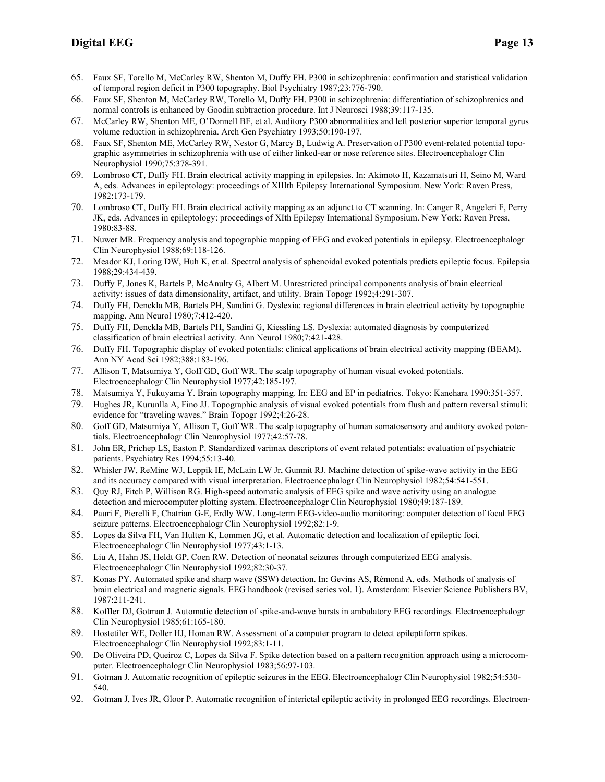- 65. Faux SF, Torello M, McCarley RW, Shenton M, Duffy FH. P300 in schizophrenia: confirmation and statistical validation of temporal region deficit in P300 topography. Biol Psychiatry 1987;23:776-790.
- 66. Faux SF, Shenton M, McCarley RW, Torello M, Duffy FH. P300 in schizophrenia: differentiation of schizophrenics and normal controls is enhanced by Goodin subtraction procedure. Int J Neurosci 1988;39:117-135.
- 67. McCarley RW, Shenton ME, O'Donnell BF, et al. Auditory P300 abnormalities and left posterior superior temporal gyrus volume reduction in schizophrenia. Arch Gen Psychiatry 1993;50:190-197.
- 68. Faux SF, Shenton ME, McCarley RW, Nestor G, Marcy B, Ludwig A. Preservation of P300 event-related potential topographic asymmetries in schizophrenia with use of either linked-ear or nose reference sites. Electroencephalogr Clin Neurophysiol 1990;75:378-391.
- 69. Lombroso CT, Duffy FH. Brain electrical activity mapping in epilepsies. In: Akimoto H, Kazamatsuri H, Seino M, Ward A, eds. Advances in epileptology: proceedings of XIIIth Epilepsy International Symposium. New York: Raven Press, 1982:173-179.
- 70. Lombroso CT, Duffy FH. Brain electrical activity mapping as an adjunct to CT scanning. In: Canger R, Angeleri F, Perry JK, eds. Advances in epileptology: proceedings of XIth Epilepsy International Symposium. New York: Raven Press, 1980:83-88.
- 71. Nuwer MR. Frequency analysis and topographic mapping of EEG and evoked potentials in epilepsy. Electroencephalogr Clin Neurophysiol 1988;69:118-126.
- 72. Meador KJ, Loring DW, Huh K, et al. Spectral analysis of sphenoidal evoked potentials predicts epileptic focus. Epilepsia 1988;29:434-439.
- 73. Duffy F, Jones K, Bartels P, McAnulty G, Albert M. Unrestricted principal components analysis of brain electrical activity: issues of data dimensionality, artifact, and utility. Brain Topogr 1992;4:291-307.
- 74. Duffy FH, Denckla MB, Bartels PH, Sandini G. Dyslexia: regional differences in brain electrical activity by topographic mapping. Ann Neurol 1980;7:412-420.
- 75. Duffy FH, Denckla MB, Bartels PH, Sandini G, Kiessling LS. Dyslexia: automated diagnosis by computerized classification of brain electrical activity. Ann Neurol 1980;7:421-428.
- 76. Duffy FH. Topographic display of evoked potentials: clinical applications of brain electrical activity mapping (BEAM). Ann NY Acad Sci 1982;388:183-196.
- 77. Allison T, Matsumiya Y, Goff GD, Goff WR. The scalp topography of human visual evoked potentials. Electroencephalogr Clin Neurophysiol 1977;42:185-197.
- 78. Matsumiya Y, Fukuyama Y. Brain topography mapping. In: EEG and EP in pediatrics. Tokyo: Kanehara 1990:351-357.
- 79. Hughes JR, Kurunlla A, Fino JJ. Topographic analysis of visual evoked potentials from flush and pattern reversal stimuli: evidence for "traveling waves." Brain Topogr 1992;4:26-28.
- 80. Goff GD, Matsumiya Y, Allison T, Goff WR. The scalp topography of human somatosensory and auditory evoked potentials. Electroencephalogr Clin Neurophysiol 1977;42:57-78.
- 81. John ER, Prichep LS, Easton P. Standardized varimax descriptors of event related potentials: evaluation of psychiatric patients. Psychiatry Res 1994;55:13-40.
- 82. Whisler JW, ReMine WJ, Leppik IE, McLain LW Jr, Gumnit RJ. Machine detection of spike-wave activity in the EEG and its accuracy compared with visual interpretation. Electroencephalogr Clin Neurophysiol 1982;54:541-551.
- 83. Quy RJ, Fitch P, Willison RG. High-speed automatic analysis of EEG spike and wave activity using an analogue detection and microcomputer plotting system. Electroencephalogr Clin Neurophysiol 1980;49:187-189.
- 84. Pauri F, Pierelli F, Chatrian G-E, Erdly WW. Long-term EEG-video-audio monitoring: computer detection of focal EEG seizure patterns. Electroencephalogr Clin Neurophysiol 1992;82:1-9.
- 85. Lopes da Silva FH, Van Hulten K, Lommen JG, et al. Automatic detection and localization of epileptic foci. Electroencephalogr Clin Neurophysiol 1977;43:1-13.
- 86. Liu A, Hahn JS, Heldt GP, Coen RW. Detection of neonatal seizures through computerized EEG analysis. Electroencephalogr Clin Neurophysiol 1992;82:30-37.
- 87. Konas PY. Automated spike and sharp wave (SSW) detection. In: Gevins AS, Rémond A, eds. Methods of analysis of brain electrical and magnetic signals. EEG handbook (revised series vol. 1). Amsterdam: Elsevier Science Publishers BV, 1987:211-241.
- 88. Koffler DJ, Gotman J. Automatic detection of spike-and-wave bursts in ambulatory EEG recordings. Electroencephalogr Clin Neurophysiol 1985;61:165-180.
- 89. Hostetiler WE, Doller HJ, Homan RW. Assessment of a computer program to detect epileptiform spikes. Electroencephalogr Clin Neurophysiol 1992;83:1-11.
- 90. De Oliveira PD, Queiroz C, Lopes da Silva F. Spike detection based on a pattern recognition approach using a microcomputer. Electroencephalogr Clin Neurophysiol 1983;56:97-103.
- 91. Gotman J. Automatic recognition of epileptic seizures in the EEG. Electroencephalogr Clin Neurophysiol 1982;54:530- 540.
- 92. Gotman J, Ives JR, Gloor P. Automatic recognition of interictal epileptic activity in prolonged EEG recordings. Electroen-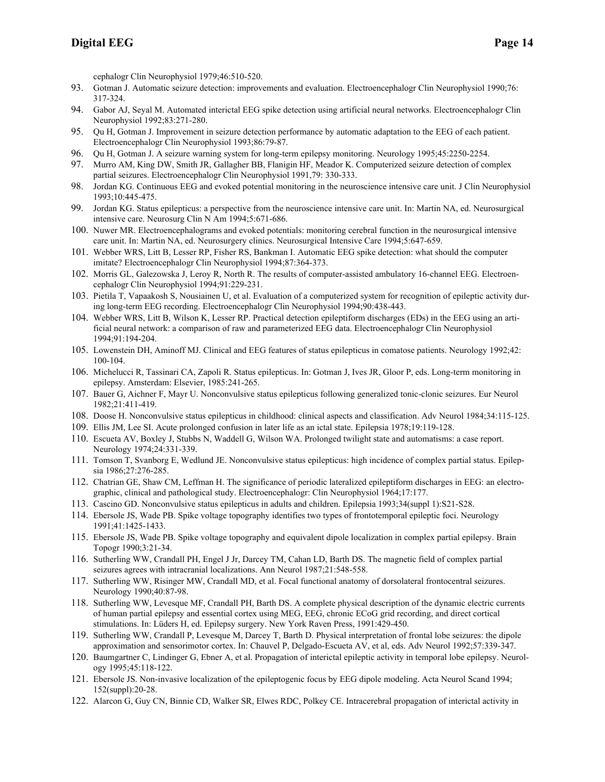cephalogr Clin Neurophysiol 1979;46:510-520.

- 93. Gotman J. Automatic seizure detection: improvements and evaluation. Electroencephalogr Clin Neurophysiol 1990;76: 317-324.
- 94. Gabor AJ, Seyal M. Automated interictal EEG spike detection using artificial neural networks. Electroencephalogr Clin Neurophysiol 1992;83:271-280.
- 95. Qu H, Gotman J. Improvement in seizure detection performance by automatic adaptation to the EEG of each patient. Electroencephalogr Clin Neurophysiol 1993;86:79-87.
- 96. Qu H, Gotman J. A seizure warning system for long-term epilepsy monitoring. Neurology 1995;45:2250-2254.
- 97. Murro AM, King DW, Smith JR, Gallagher BB, Flanigin HF, Meador K. Computerized seizure detection of complex partial seizures. Electroencephalogr Clin Neurophysiol 1991,79: 330-333.
- 98. Jordan KG. Continuous EEG and evoked potential monitoring in the neuroscience intensive care unit. J Clin Neurophysiol 1993;10:445-475.
- 99. Jordan KG. Status epilepticus: a perspective from the neuroscience intensive care unit. In: Martin NA, ed. Neurosurgical intensive care. Neurosurg Clin N Am 1994;5:671-686.
- 100. Nuwer MR. Electroencephalograms and evoked potentials: monitoring cerebral function in the neurosurgical intensive care unit. In: Martin NA, ed. Neurosurgery clinics. Neurosurgical Intensive Care 1994;5:647-659.
- 101. Webber WRS, Litt B, Lesser RP, Fisher RS, Bankman I. Automatic EEG spike detection: what should the computer imitate? Electroencephalogr Clin Neurophysiol 1994;87:364-373.
- 102. Morris GL, Galezowska J, Leroy R, North R. The results of computer-assisted ambulatory 16-channel EEG. Electroencephalogr Clin Neurophysiol 1994;91:229-231.
- 103. Pietila T, Vapaakosh S, Nousiainen U, et al. Evaluation of a computerized system for recognition of epileptic activity during long-term EEG recording. Electroencephalogr Clin Neurophysiol 1994;90:438-443.
- 104. Webber WRS, Litt B, Wilson K, Lesser RP. Practical detection epileptiform discharges (EDs) in the EEG using an artificial neural network: a comparison of raw and parameterized EEG data. Electroencephalogr Clin Neurophysiol 1994;91:194-204.
- 105. Lowenstein DH, Aminoff MJ. Clinical and EEG features of status epilepticus in comatose patients. Neurology 1992;42: 100-104.
- 106. Michelucci R, Tassinari CA, Zapoli R. Status epilepticus. In: Gotman J, Ives JR, Gloor P, eds. Long-term monitoring in epilepsy. Amsterdam: Elsevier, 1985:241-265.
- 107. Bauer G, Aichner F, Mayr U. Nonconvulsive status epilepticus following generalized tonic-clonic seizures. Eur Neurol 1982;21:411-419.
- 108. Doose H. Nonconvulsive status epilepticus in childhood: clinical aspects and classification. Adv Neurol 1984;34:115-125.
- 109. Ellis JM, Lee SI. Acute prolonged confusion in later life as an ictal state. Epilepsia 1978;19:119-128.
- 110. Escueta AV, Boxley J, Stubbs N, Waddell G, Wilson WA. Prolonged twilight state and automatisms: a case report. Neurology 1974;24:331-339.
- 111. Tomson T, Svanborg E, Wedlund JE. Nonconvulsive status epilepticus: high incidence of complex partial status. Epilepsia 1986;27:276-285.
- 112. Chatrian GE, Shaw CM, Leffman H. The significance of periodic lateralized epileptiform discharges in EEG: an electrographic, clinical and pathological study. Electroencephalogr: Clin Neurophysiol 1964;17:177.
- 113. Cascino GD. Nonconvulsive status epilepticus in adults and children. Epilepsia 1993;34(suppl 1):S21-S28.
- 114. Ebersole JS, Wade PB. Spike voltage topography identifies two types of frontotemporal epileptic foci. Neurology 1991;41:1425-1433.
- 115. Ebersole JS, Wade PB. Spike voltage topography and equivalent dipole localization in complex partial epilepsy. Brain Topogr 1990;3:21-34.
- 116. Sutherling WW, Crandall PH, Engel J Jr, Darcey TM, Cahan LD, Barth DS. The magnetic field of complex partial seizures agrees with intracranial localizations. Ann Neurol 1987;21:548-558.
- 117. Sutherling WW, Risinger MW, Crandall MD, et al. Focal functional anatomy of dorsolateral frontocentral seizures. Neurology 1990;40:87-98.
- 118. Sutherling WW, Levesque MF, Crandall PH, Barth DS. A complete physical description of the dynamic electric currents of human partial epilepsy and essential cortex using MEG, EEG, chronic ECoG grid recording, and direct cortical stimulations. In: Lüders H, ed. Epilepsy surgery. New York Raven Press, 1991:429-450.
- 119. Sutherling WW, Crandall P, Levesque M, Darcey T, Barth D. Physical interpretation of frontal lobe seizures: the dipole approximation and sensorimotor cortex. In: Chauvel P, Delgado-Escueta AV, et al, eds. Adv Neurol 1992;57:339-347.
- 120. Baumgartner C, Lindinger G, Ebner A, et al. Propagation of interictal epileptic activity in temporal lobe epilepsy. Neurology 1995;45:118-122.
- 121. Ebersole JS. Non-invasive localization of the epileptogenic focus by EEG dipole modeling. Acta Neurol Scand 1994; 152(suppl):20-28.
- 122. Alarcon G, Guy CN, Binnie CD, Walker SR, Elwes RDC, Polkey CE. Intracerebral propagation of interictal activity in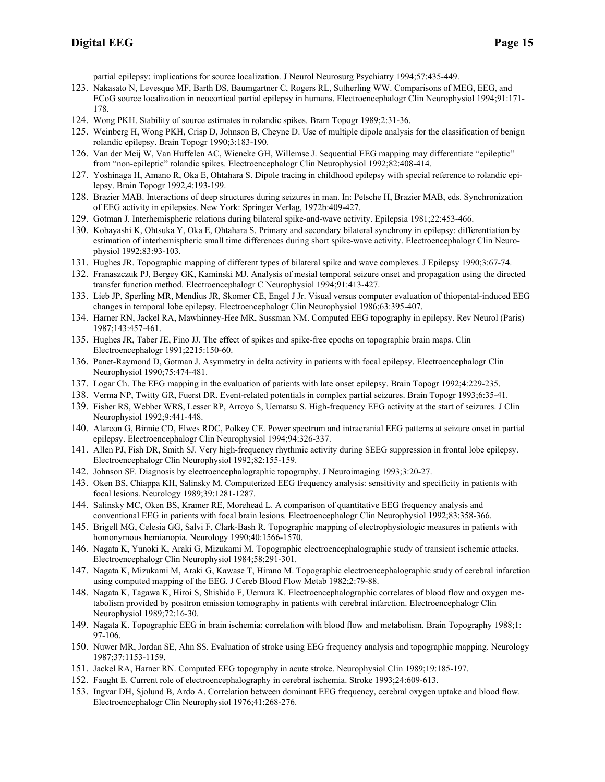- 123. Nakasato N, Levesque MF, Barth DS, Baumgartner C, Rogers RL, Sutherling WW. Comparisons of MEG, EEG, and ECoG source localization in neocortical partial epilepsy in humans. Electroencephalogr Clin Neurophysiol 1994;91:171- 178.
- 124. Wong PKH. Stability of source estimates in rolandic spikes. Bram Topogr 1989;2:31-36.
- 125. Weinberg H, Wong PKH, Crisp D, Johnson B, Cheyne D. Use of multiple dipole analysis for the classification of benign rolandic epilepsy. Brain Topogr 1990;3:183-190.
- 126. Van der Meij W, Van Huffelen AC, Wieneke GH, Willemse J. Sequential EEG mapping may differentiate "epileptic" from "non-epileptic" rolandic spikes. Electroencephalogr Clin Neurophysiol 1992;82:408-414.
- 127. Yoshinaga H, Amano R, Oka E, Ohtahara S. Dipole tracing in childhood epilepsy with special reference to rolandic epilepsy. Brain Topogr 1992,4:193-199.
- 128. Brazier MAB. Interactions of deep structures during seizures in man. In: Petsche H, Brazier MAB, eds. Synchronization of EEG activity in epilepsies. New York: Springer Verlag, 1972b:409-427.
- 129. Gotman J. Interhemispheric relations during bilateral spike-and-wave activity. Epilepsia 1981;22:453-466.
- 130. Kobayashi K, Ohtsuka Y, Oka E, Ohtahara S. Primary and secondary bilateral synchrony in epilepsy: differentiation by estimation of interhemispheric small time differences during short spike-wave activity. Electroencephalogr Clin Neurophysiol 1992;83:93-103.
- 131. Hughes JR. Topographic mapping of different types of bilateral spike and wave complexes. J Epilepsy 1990;3:67-74.
- 132. Franaszczuk PJ, Bergey GK, Kaminski MJ. Analysis of mesial temporal seizure onset and propagation using the directed transfer function method. Electroencephalogr C Neurophysiol 1994;91:413-427.
- 133. Lieb JP, Sperling MR, Mendius JR, Skomer CE, Engel J Jr. Visual versus computer evaluation of thiopental-induced EEG changes in temporal lobe epilepsy. Electroencephalogr Clin Neurophysiol 1986;63:395-407.
- 134. Harner RN, Jackel RA, Mawhinney-Hee MR, Sussman NM. Computed EEG topography in epilepsy. Rev Neurol (Paris) 1987;143:457-461.
- 135. Hughes JR, Taber JE, Fino JJ. The effect of spikes and spike-free epochs on topographic brain maps. Clin Electroencephalogr 1991;2215:150-60.
- 136. Panet-Raymond D, Gotman J. Asymmetry in delta activity in patients with focal epilepsy. Electroencephalogr Clin Neurophysiol 1990;75:474-481.
- 137. Logar Ch. The EEG mapping in the evaluation of patients with late onset epilepsy. Brain Topogr 1992;4:229-235.
- 138. Verma NP, Twitty GR, Fuerst DR. Event-related potentials in complex partial seizures. Brain Topogr 1993;6:35-41.
- 139. Fisher RS, Webber WRS, Lesser RP, Arroyo S, Uematsu S. High-frequency EEG activity at the start of seizures. J Clin Neurophysiol 1992;9:441-448.
- 140. Alarcon G, Binnie CD, Elwes RDC, Polkey CE. Power spectrum and intracranial EEG patterns at seizure onset in partial epilepsy. Electroencephalogr Clin Neurophysiol 1994;94:326-337.
- 141. Allen PJ, Fish DR, Smith SJ. Very high-frequency rhythmic activity during SEEG suppression in frontal lobe epilepsy. Electroencephalogr Clin Neurophysiol 1992;82:155-159.
- 142. Johnson SF. Diagnosis by electroencephalographic topography. J Neuroimaging 1993;3:20-27.
- 143. Oken BS, Chiappa KH, Salinsky M. Computerized EEG frequency analysis: sensitivity and specificity in patients with focal lesions. Neurology 1989;39:1281-1287.
- 144. Salinsky MC, Oken BS, Kramer RE, Morehead L. A comparison of quantitative EEG frequency analysis and conventional EEG in patients with focal brain lesions. Electroencephalogr Clin Neurophysiol 1992;83:358-366.
- 145. Brigell MG, Celesia GG, Salvi F, Clark-Bash R. Topographic mapping of electrophysiologic measures in patients with homonymous hemianopia. Neurology 1990;40:1566-1570.
- 146. Nagata K, Yunoki K, Araki G, Mizukami M. Topographic electroencephalographic study of transient ischemic attacks. Electroencephalogr Clin Neurophysiol 1984;58:291-301.
- 147. Nagata K, Mizukami M, Araki G, Kawase T, Hirano M. Topographic electroencephalographic study of cerebral infarction using computed mapping of the EEG. J Cereb Blood Flow Metab 1982;2:79-88.
- 148. Nagata K, Tagawa K, Hiroi S, Shishido F, Uemura K. Electroencephalographic correlates of blood flow and oxygen metabolism provided by positron emission tomography in patients with cerebral infarction. Electroencephalogr Clin Neurophysiol 1989;72:16-30.
- 149. Nagata K. Topographic EEG in brain ischemia: correlation with blood flow and metabolism. Brain Topography 1988;1: 97-106.
- 150. Nuwer MR, Jordan SE, Ahn SS. Evaluation of stroke using EEG frequency analysis and topographic mapping. Neurology 1987;37:1153-1159.
- 151. Jackel RA, Harner RN. Computed EEG topography in acute stroke. Neurophysiol Clin 1989;19:185-197.
- 152. Faught E. Current role of electroencephalography in cerebral ischemia. Stroke 1993;24:609-613.
- 153. Ingvar DH, Sjolund B, Ardo A. Correlation between dominant EEG frequency, cerebral oxygen uptake and blood flow. Electroencephalogr Clin Neurophysiol 1976;41:268-276.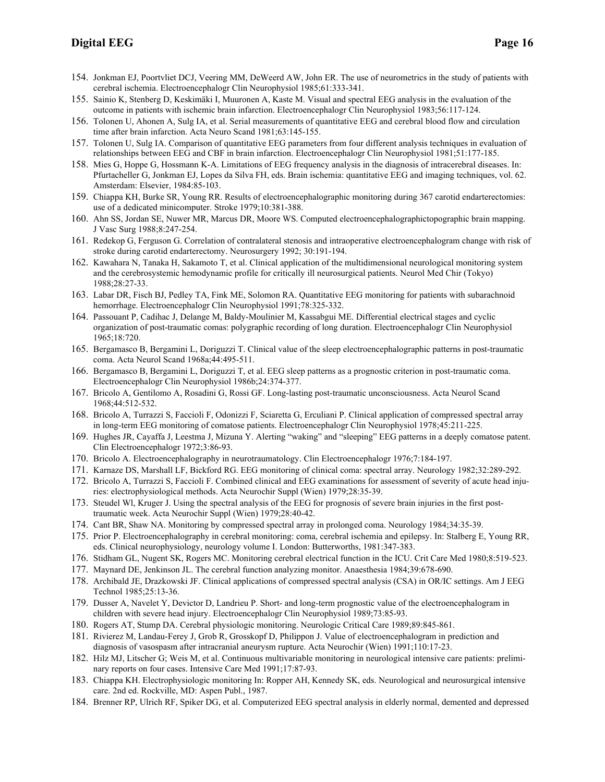- 154. Jonkman EJ, Poortvliet DCJ, Veering MM, DeWeerd AW, John ER. The use of neurometrics in the study of patients with cerebral ischemia. Electroencephalogr Clin Neurophysiol 1985;61:333-341.
- 155. Sainio K, Stenberg D, Keskimäki I, Muuronen A, Kaste M. Visual and spectral EEG analysis in the evaluation of the outcome in patients with ischemic brain infarction. Electroencephalogr Clin Neurophysiol 1983;56:117-124.
- 156. Tolonen U, Ahonen A, Sulg IA, et al. Serial measurements of quantitative EEG and cerebral blood flow and circulation time after brain infarction. Acta Neuro Scand 1981;63:145-155.
- 157. Tolonen U, Sulg IA. Comparison of quantitative EEG parameters from four different analysis techniques in evaluation of relationships between EEG and CBF in brain infarction. Electroencephalogr Clin Neurophysiol 1981;51:177-185.
- 158. Mies G, Hoppe G, Hossmann K-A. Limitations of EEG frequency analysis in the diagnosis of intracerebral diseases. In: Pfurtacheller G, Jonkman EJ, Lopes da Silva FH, eds. Brain ischemia: quantitative EEG and imaging techniques, vol. 62. Amsterdam: Elsevier, 1984:85-103.
- 159. Chiappa KH, Burke SR, Young RR. Results of electroencephalographic monitoring during 367 carotid endarterectomies: use of a dedicated minicomputer. Stroke 1979;10:381-388.
- 160. Ahn SS, Jordan SE, Nuwer MR, Marcus DR, Moore WS. Computed electroencephalographictopographic brain mapping. J Vasc Surg 1988;8:247-254.
- 161. Redekop G, Ferguson G. Correlation of contralateral stenosis and intraoperative electroencephalogram change with risk of stroke during carotid endarterectomy. Neurosurgery 1992; 30:191-194.
- 162. Kawahara N, Tanaka H, Sakamoto T, et al. Clinical application of the multidimensional neurological monitoring system and the cerebrosystemic hemodynamic profile for critically ill neurosurgical patients. Neurol Med Chir (Tokyo) 1988;28:27-33.
- 163. Labar DR, Fisch BJ, Pedley TA, Fink ME, Solomon RA. Quantitative EEG monitoring for patients with subarachnoid hemorrhage. Electroencephalogr Clin Neurophysiol 1991;78:325-332.
- 164. Passouant P, Cadihac J, Delange M, Baldy-Moulinier M, Kassabgui ME. Differential electrical stages and cyclic organization of post-traumatic comas: polygraphic recording of long duration. Electroencephalogr Clin Neurophysiol 1965;18:720.
- 165. Bergamasco B, Bergamini L, Doriguzzi T. Clinical value of the sleep electroencephalographic patterns in post-traumatic coma. Acta Neurol Scand 1968a;44:495-511.
- 166. Bergamasco B, Bergamini L, Doriguzzi T, et al. EEG sleep patterns as a prognostic criterion in post-traumatic coma. Electroencephalogr Clin Neurophysiol 1986b;24:374-377.
- 167. Bricolo A, Gentilomo A, Rosadini G, Rossi GF. Long-lasting post-traumatic unconsciousness. Acta Neurol Scand 1968;44:512-532.
- 168. Bricolo A, Turrazzi S, Faccioli F, Odonizzi F, Sciaretta G, Erculiani P. Clinical application of compressed spectral array in long-term EEG monitoring of comatose patients. Electroencephalogr Clin Neurophysiol 1978;45:211-225.
- 169. Hughes JR, Cayaffa J, Leestma J, Mizuna Y. Alerting "waking" and "sleeping" EEG patterns in a deeply comatose patent. Clin Electroencephalogr 1972;3:86-93.
- 170. Bricolo A. Electroencephalography in neurotraumatology. Clin Electroencephalogr 1976;7:184-197.
- 171. Karnaze DS, Marshall LF, Bickford RG. EEG monitoring of clinical coma: spectral array. Neurology 1982;32:289-292.
- 172. Bricolo A, Turrazzi S, Faccioli F. Combined clinical and EEG examinations for assessment of severity of acute head injuries: electrophysiological methods. Acta Neurochir Suppl (Wien) 1979;28:35-39.
- 173. Steudel Wl, Kruger J. Using the spectral analysis of the EEG for prognosis of severe brain injuries in the first posttraumatic week. Acta Neurochir Suppl (Wien) 1979;28:40-42.
- 174. Cant BR, Shaw NA. Monitoring by compressed spectral array in prolonged coma. Neurology 1984;34:35-39.
- 175. Prior P. Electroencephalography in cerebral monitoring: coma, cerebral ischemia and epilepsy. In: Stalberg E, Young RR, eds. Clinical neurophysiology, neurology volume I. London: Butterworths, 1981:347-383.
- 176. Stidham GL, Nugent SK, Rogers MC. Monitoring cerebral electrical function in the ICU. Crit Care Med 1980;8:519-523.
- 177. Maynard DE, Jenkinson JL. The cerebral function analyzing monitor. Anaesthesia 1984;39:678-690.
- 178. Archibald JE, Drazkowski JF. Clinical applications of compressed spectral analysis (CSA) in OR/IC settings. Am J EEG Technol 1985;25:13-36.
- 179. Dusser A, Navelet Y, Devictor D, Landrieu P. Short- and long-term prognostic value of the electroencephalogram in children with severe head injury. Electroencephalogr Clin Neurophysiol 1989;73:85-93.
- 180. Rogers AT, Stump DA. Cerebral physiologic monitoring. Neurologic Critical Care 1989;89:845-861.
- 181. Rivierez M, Landau-Ferey J, Grob R, Grosskopf D, Philippon J. Value of electroencephalogram in prediction and diagnosis of vasospasm after intracranial aneurysm rupture. Acta Neurochir (Wien) 1991;110:17-23.
- 182. Hilz MJ, Litscher G; Weis M, et al. Continuous multivariable monitoring in neurological intensive care patients: preliminary reports on four cases. Intensive Care Med 1991;17:87-93.
- 183. Chiappa KH. Electrophysiologic monitoring In: Ropper AH, Kennedy SK, eds. Neurological and neurosurgical intensive care. 2nd ed. Rockville, MD: Aspen Publ., 1987.
- 184. Brenner RP, Ulrich RF, Spiker DG, et al. Computerized EEG spectral analysis in elderly normal, demented and depressed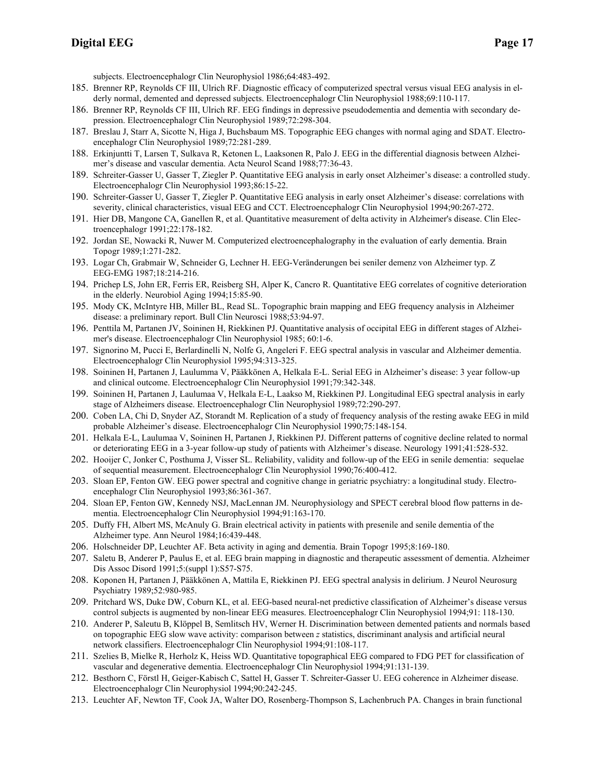- 185. Brenner RP, Reynolds CF III, Ulrich RF. Diagnostic efficacy of computerized spectral versus visual EEG analysis in elderly normal, demented and depressed subjects. Electroencephalogr Clin Neurophysiol 1988;69:110-117.
- 186. Brenner RP, Reynolds CF III, Ulrich RF. EEG findings in depressive pseudodementia and dementia with secondary depression. Electroencephalogr Clin Neurophysiol 1989;72:298-304.
- 187. Breslau J, Starr A, Sicotte N, Higa J, Buchsbaum MS. Topographic EEG changes with normal aging and SDAT. Electroencephalogr Clin Neurophysiol 1989;72:281-289.
- 188. Erkinjuntti T, Larsen T, Sulkava R, Ketonen L, Laaksonen R, Palo J. EEG in the differential diagnosis between Alzheimer's disease and vascular dementia. Acta Neurol Scand 1988;77:36-43.
- 189. Schreiter-Gasser U, Gasser T, Ziegler P. Quantitative EEG analysis in early onset Alzheimer's disease: a controlled study. Electroencephalogr Clin Neurophysiol 1993;86:15-22.
- 190. Schreiter-Gasser U, Gasser T, Ziegler P. Quantitative EEG analysis in early onset Alzheimer's disease: correlations with severity, clinical characteristics, visual EEG and CCT. Electroencephalogr Clin Neurophysiol 1994;90:267-272.
- 191. Hier DB, Mangone CA, Ganellen R, et al. Quantitative measurement of delta activity in Alzheimer's disease. Clin Electroencephalogr 1991;22:178-182.
- 192. Jordan SE, Nowacki R, Nuwer M. Computerized electroencephalography in the evaluation of early dementia. Brain Topogr 1989;1:271-282.
- 193. Logar Ch, Grabmair W, Schneider G, Lechner H. EEG-Veränderungen bei seniler demenz von Alzheimer typ. Z EEG-EMG 1987;18:214-216.
- 194. Prichep LS, John ER, Ferris ER, Reisberg SH, Alper K, Cancro R. Quantitative EEG correlates of cognitive deterioration in the elderly. Neurobiol Aging 1994;15:85-90.
- 195. Mody CK, McIntyre HB, Miller BL, Read SL. Topographic brain mapping and EEG frequency analysis in Alzheimer disease: a preliminary report. Bull Clin Neurosci 1988;53:94-97.
- 196. Penttila M, Partanen JV, Soininen H, Riekkinen PJ. Quantitative analysis of occipital EEG in different stages of Alzheimer's disease. Electroencephalogr Clin Neurophysiol 1985; 60:1-6.
- 197. Signorino M, Pucci E, Berlardinelli N, Nolfe G, Angeleri F. EEG spectral analysis in vascular and Alzheimer dementia. Electroencephalogr Clin Neurophysiol 1995;94:313-325.
- 198. Soininen H, Partanen J, Laulumma V, Pääkkönen A, Helkala E-L. Serial EEG in Alzheimer's disease: 3 year follow-up and clinical outcome. Electroencephalogr Clin Neurophysiol 1991;79:342-348.
- 199. Soininen H, Partanen J, Laulumaa V, Helkala E-L, Laakso M, Riekkinen PJ. Longitudinal EEG spectral analysis in early stage of Alzheimers disease. Electroencephalogr Clin Neurophysiol 1989;72:290-297.
- 200. Coben LA, Chi D, Snyder AZ, Storandt M. Replication of a study of frequency analysis of the resting awake EEG in mild probable Alzheimer's disease. Electroencephalogr Clin Neurophysiol 1990;75:148-154.
- 201. Helkala E-L, Laulumaa V, Soininen H, Partanen J, Riekkinen PJ. Different patterns of cognitive decline related to normal or deteriorating EEG in a 3-year follow-up study of patients with Alzheimer's disease. Neurology 1991;41:528-532.
- 202. Hooijer C, Jonker C, Posthuma J, Visser SL. Reliability, validity and follow-up of the EEG in senile dementia: sequelae of sequential measurement. Electroencephalogr Clin Neurophysiol 1990;76:400-412.
- 203. Sloan EP, Fenton GW. EEG power spectral and cognitive change in geriatric psychiatry: a longitudinal study. Electroencephalogr Clin Neurophysiol 1993;86:361-367.
- 204. Sloan EP, Fenton GW, Kennedy NSJ, MacLennan JM. Neurophysiology and SPECT cerebral blood flow patterns in dementia. Electroencephalogr Clin Neurophysiol 1994;91:163-170.
- 205. Duffy FH, Albert MS, McAnuly G. Brain electrical activity in patients with presenile and senile dementia of the Alzheimer type. Ann Neurol 1984;16:439-448.
- 206. Holschneider DP, Leuchter AF. Beta activity in aging and dementia. Brain Topogr 1995;8:169-180.
- 207. Saletu B, Anderer P, Paulus E, et al. EEG brain mapping in diagnostic and therapeutic assessment of dementia. Alzheimer Dis Assoc Disord 1991;5:(suppl 1):S57-S75.
- 208. Koponen H, Partanen J, Pääkkönen A, Mattila E, Riekkinen PJ. EEG spectral analysis in delirium. J Neurol Neurosurg Psychiatry 1989;52:980-985.
- 209. Pritchard WS, Duke DW, Coburn KL, et al. EEG-based neural-net predictive classification of Alzheimer's disease versus control subjects is augmented by non-linear EEG measures. Electroencephalogr Clin Neurophysiol 1994;91: 118-130.
- 210. Anderer P, Saleutu B, Klöppel B, Semlitsch HV, Werner H. Discrimination between demented patients and normals based on topographic EEG slow wave activity: comparison between *z* statistics, discriminant analysis and artificial neural network classifiers. Electroencephalogr Clin Neurophysiol 1994;91:108-117.
- 211. Szelies B, Mielke R, Herholz K, Heiss WD. Quantitative topographical EEG compared to FDG PET for classification of vascular and degenerative dementia. Electroencephalogr Clin Neurophysiol 1994;91:131-139.
- 212. Besthorn C, Förstl H, Geiger-Kabisch C, Sattel H, Gasser T. Schreiter-Gasser U. EEG coherence in Alzheimer disease. Electroencephalogr Clin Neurophysiol 1994;90:242-245.
- 213. Leuchter AF, Newton TF, Cook JA, Walter DO, Rosenberg-Thompson S, Lachenbruch PA. Changes in brain functional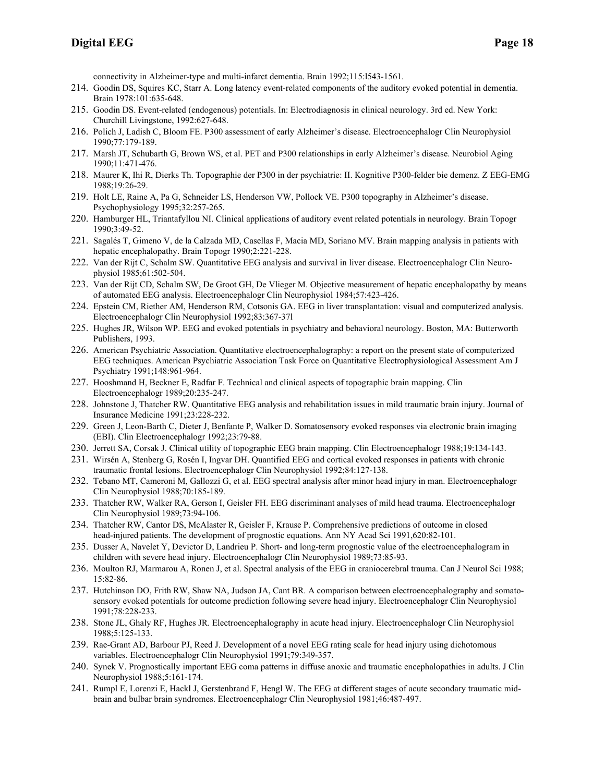connectivity in Alzheimer-type and multi-infarct dementia. Brain 1992;115:l543-1561.

- 214. Goodin DS, Squires KC, Starr A. Long latency event-related components of the auditory evoked potential in dementia. Brain 1978:101:635-648.
- 215. Goodin DS. Event-related (endogenous) potentials. In: Electrodiagnosis in clinical neurology. 3rd ed. New York: Churchill Livingstone, 1992:627-648.
- 216. Polich J, Ladish C, Bloom FE. P300 assessment of early Alzheimer's disease. Electroencephalogr Clin Neurophysiol 1990;77:179-189.
- 217. Marsh JT, Schubarth G, Brown WS, et al. PET and P300 relationships in early Alzheimer's disease. Neurobiol Aging 1990;11:471-476.
- 218. Maurer K, Ihi R, Dierks Th. Topographie der P300 in der psychiatrie: II. Kognitive P300-felder bie demenz. Z EEG-EMG 1988;19:26-29.
- 219. Holt LE, Raine A, Pa G, Schneider LS, Henderson VW, Pollock VE. P300 topography in Alzheimer's disease. Psychophysiology 1995;32:257-265.
- 220. Hamburger HL, Triantafyllou NI. Clinical applications of auditory event related potentials in neurology. Brain Topogr 1990;3:49-52.
- 221. Sagalés T, Gimeno V, de la Calzada MD, Casellas F, Macia MD, Soriano MV. Brain mapping analysis in patients with hepatic encephalopathy. Brain Topogr 1990;2:221-228.
- 222. Van der Rijt C, Schalm SW. Quantitative EEG analysis and survival in liver disease. Electroencephalogr Clin Neurophysiol 1985;61:502-504.
- 223. Van der Rijt CD, Schalm SW, De Groot GH, De Vlieger M. Objective measurement of hepatic encephalopathy by means of automated EEG analysis. Electroencephalogr Clin Neurophysiol 1984;57:423-426.
- 224. Epstein CM, Riether AM, Henderson RM, Cotsonis GA. EEG in liver transplantation: visual and computerized analysis. Electroencephalogr Clin Neurophysiol 1992;83:367-37l
- 225. Hughes JR, Wilson WP. EEG and evoked potentials in psychiatry and behavioral neurology. Boston, MA: Butterworth Publishers, 1993.
- 226. American Psychiatric Association. Quantitative electroencephalography: a report on the present state of computerized EEG techniques. American Psychiatric Association Task Force on Quantitative Electrophysiological Assessment Am J Psychiatry 1991;148:961-964.
- 227. Hooshmand H, Beckner E, Radfar F. Technical and clinical aspects of topographic brain mapping. Clin Electroencephalogr 1989;20:235-247.
- 228. Johnstone J, Thatcher RW. Quantitative EEG analysis and rehabilitation issues in mild traumatic brain injury. Journal of Insurance Medicine 1991;23:228-232.
- 229. Green J, Leon-Barth C, Dieter J, Benfante P, Walker D. Somatosensory evoked responses via electronic brain imaging (EBI). Clin Electroencephalogr 1992;23:79-88.
- 230. Jerrett SA, Corsak J. Clinical utility of topographic EEG brain mapping. Clin Electroencephalogr 1988;19:134-143.
- 231. Wirsén A, Stenberg G, Rosén I, Ingvar DH. Quantified EEG and cortical evoked responses in patients with chronic traumatic frontal lesions. Electroencephalogr Clin Neurophysiol 1992;84:127-138.
- 232. Tebano MT, Cameroni M, Gallozzi G, et al. EEG spectral analysis after minor head injury in man. Electroencephalogr Clin Neurophysiol 1988;70:185-189.
- 233. Thatcher RW, Walker RA, Gerson I, Geisler FH. EEG discriminant analyses of mild head trauma. Electroencephalogr Clin Neurophysiol 1989;73:94-106.
- 234. Thatcher RW, Cantor DS, McAlaster R, Geisler F, Krause P. Comprehensive predictions of outcome in closed head-injured patients. The development of prognostic equations. Ann NY Acad Sci 1991,620:82-101.
- 235. Dusser A, Navelet Y, Devictor D, Landrieu P. Short- and long-term prognostic value of the electroencephalogram in children with severe head injury. Electroencephalogr Clin Neurophysiol 1989;73:85-93.
- 236. Moulton RJ, Marmarou A, Ronen J, et al. Spectral analysis of the EEG in craniocerebral trauma. Can J Neurol Sci 1988; 15:82-86.
- 237. Hutchinson DO, Frith RW, Shaw NA, Judson JA, Cant BR. A comparison between electroencephalography and somatosensory evoked potentials for outcome prediction following severe head injury. Electroencephalogr Clin Neurophysiol 1991;78:228-233.
- 238. Stone JL, Ghaly RF, Hughes JR. Electroencephalography in acute head injury. Electroencephalogr Clin Neurophysiol 1988;5:125-133.
- 239. Rae-Grant AD, Barbour PJ, Reed J. Development of a novel EEG rating scale for head injury using dichotomous variables. Electroencephalogr Clin Neurophysiol 1991;79:349-357.
- 240. Synek V. Prognostically important EEG coma patterns in diffuse anoxic and traumatic encephalopathies in adults. J Clin Neurophysiol 1988;5:161-174.
- 241. Rumpl E, Lorenzi E, Hackl J, Gerstenbrand F, Hengl W. The EEG at different stages of acute secondary traumatic midbrain and bulbar brain syndromes. Electroencephalogr Clin Neurophysiol 1981;46:487-497.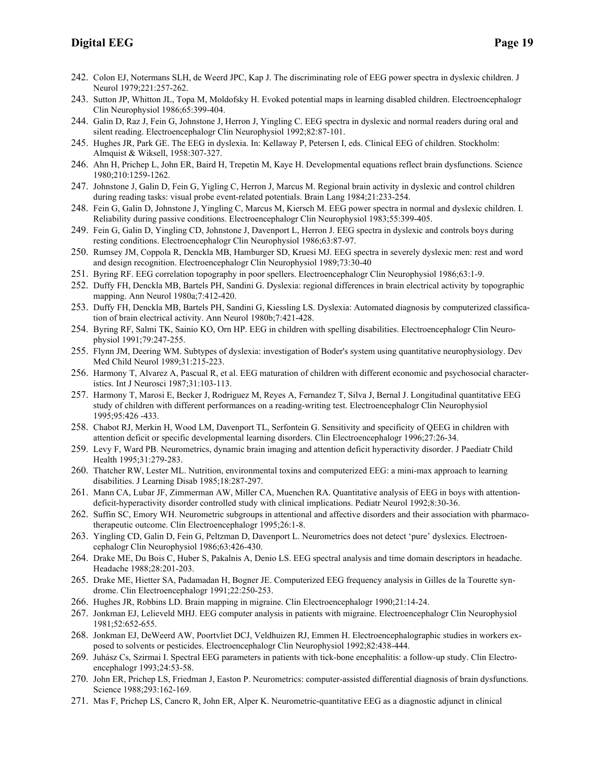- 242. Colon EJ, Notermans SLH, de Weerd JPC, Kap J. The discriminating role of EEG power spectra in dyslexic children. J Neurol 1979;221:257-262.
- 243. Sutton JP, Whitton JL, Topa M, Moldofsky H. Evoked potential maps in learning disabled children. Electroencephalogr Clin Neurophysiol 1986;65:399-404.
- 244. Galin D, Raz J, Fein G, Johnstone J, Herron J, Yingling C. EEG spectra in dyslexic and normal readers during oral and silent reading. Electroencephalogr Clin Neurophysiol 1992;82:87-101.
- 245. Hughes JR, Park GE. The EEG in dyslexia. In: Kellaway P, Petersen I, eds. Clinical EEG of children. Stockholm: Almquist & Wiksell, 1958:307-327.
- 246. Ahn H, Prichep L, John ER, Baird H, Trepetin M, Kaye H. Developmental equations reflect brain dysfunctions. Science 1980;210:1259-1262.
- 247. Johnstone J, Galin D, Fein G, Yigling C, Herron J, Marcus M. Regional brain activity in dyslexic and control children during reading tasks: visual probe event-related potentials. Brain Lang 1984;21:233-254.
- 248. Fein G, Galin D, Johnstone J, Yingling C, Marcus M, Kiersch M. EEG power spectra in normal and dyslexic children. I. Reliability during passive conditions. Electroencephalogr Clin Neurophysiol 1983;55:399-405.
- 249. Fein G, Galin D, Yingling CD, Johnstone J, Davenport L, Herron J. EEG spectra in dyslexic and controls boys during resting conditions. Electroencephalogr Clin Neurophysiol 1986;63:87-97.
- 250. Rumsey JM, Coppola R, Denckla MB, Hamburger SD, Kruesi MJ. EEG spectra in severely dyslexic men: rest and word and design recognition. Electroencephalogr Clin Neurophysiol 1989;73:30-40
- 251. Byring RF. EEG correlation topography in poor spellers. Electroencephalogr Clin Neurophysiol 1986;63:1-9.
- 252. Duffy FH, Denckla MB, Bartels PH, Sandini G. Dyslexia: regional differences in brain electrical activity by topographic mapping. Ann Neurol 1980a;7:412-420.
- 253. Duffy FH, Denckla MB, Bartels PH, Sandini G, Kiessling LS. Dyslexia: Automated diagnosis by computerized classification of brain electrical activity. Ann Neurol 1980b;7:421-428.
- 254. Byring RF, Salmi TK, Sainio KO, Orn HP. EEG in children with spelling disabilities. Electroencephalogr Clin Neurophysiol 1991;79:247-255.
- 255. Flynn JM, Deering WM. Subtypes of dyslexia: investigation of Boder's system using quantitative neurophysiology. Dev Med Child Neurol 1989;31:215-223.
- 256. Harmony T, Alvarez A, Pascual R, et al. EEG maturation of children with different economic and psychosocial characteristics. Int J Neurosci 1987;31:103-113.
- 257. Harmony T, Marosi E, Becker J, Rodriguez M, Reyes A, Fernandez T, Silva J, Bernal J. Longitudinal quantitative EEG study of children with different performances on a reading-writing test. Electroencephalogr Clin Neurophysiol 1995;95:426 -433.
- 258. Chabot RJ, Merkin H, Wood LM, Davenport TL, Serfontein G. Sensitivity and specificity of QEEG in children with attention deficit or specific developmental learning disorders. Clin Electroencephalogr 1996;27:26-34.
- 259. Levy F, Ward PB. Neurometrics, dynamic brain imaging and attention deficit hyperactivity disorder. J Paediatr Child Health 1995;31:279-283.
- 260. Thatcher RW, Lester ML. Nutrition, environmental toxins and computerized EEG: a mini-max approach to learning disabilities. J Learning Disab 1985;18:287-297.
- 261. Mann CA, Lubar JF, Zimmerman AW, Miller CA, Muenchen RA. Quantitative analysis of EEG in boys with attentiondeficit-hyperactivity disorder controlled study with clinical implications. Pediatr Neurol 1992;8:30-36.
- 262. Suffin SC, Emory WH. Neurometric subgroups in attentional and affective disorders and their association with pharmacotherapeutic outcome. Clin Electroencephalogr 1995;26:1-8.
- 263. Yingling CD, Galin D, Fein G, Peltzman D, Davenport L. Neurometrics does not detect 'pure' dyslexics. Electroencephalogr Clin Neurophysiol 1986;63:426-430.
- 264. Drake ME, Du Bois C, Huber S, Pakalnis A, Denio LS. EEG spectral analysis and time domain descriptors in headache. Headache 1988;28:201-203.
- 265. Drake ME, Hietter SA, Padamadan H, Bogner JE. Computerized EEG frequency analysis in Gilles de la Tourette syndrome. Clin Electroencephalogr 1991;22:250-253.
- 266. Hughes JR, Robbins LD. Brain mapping in migraine. Clin Electroencephalogr 1990;21:14-24.
- 267. Jonkman EJ, Lelieveld MHJ. EEG computer analysis in patients with migraine. Electroencephalogr Clin Neurophysiol 1981;52:652-655.
- 268. Jonkman EJ, DeWeerd AW, Poortvliet DCJ, Veldhuizen RJ, Emmen H. Electroencephalographic studies in workers exposed to solvents or pesticides. Electroencephalogr Clin Neurophysiol 1992;82:438-444.
- 269. Juhász Cs, Szirmai I. Spectral EEG parameters in patients with tick-bone encephalitis: a follow-up study. Clin Electroencephalogr 1993;24:53-58.
- 270. John ER, Prichep LS, Friedman J, Easton P. Neurometrics: computer-assisted differential diagnosis of brain dysfunctions. Science 1988;293:162-169.
- 271. Mas F, Prichep LS, Cancro R, John ER, Alper K. Neurometric-quantitative EEG as a diagnostic adjunct in clinical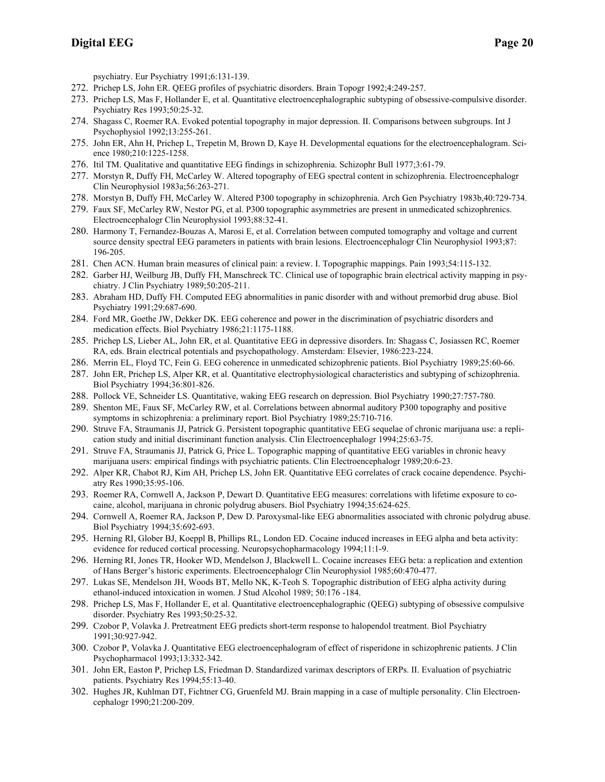psychiatry. Eur Psychiatry 1991;6:131-139.

- 272. Prichep LS, John ER. QEEG profiles of psychiatric disorders. Brain Topogr 1992;4:249-257.
- 273. Prichep LS, Mas F, Hollander E, et al. Quantitative electroencephalographic subtyping of obsessive-compulsive disorder. Psychiatry Res 1993;50:25-32.
- 274. Shagass C, Roemer RA. Evoked potential topography in major depression. II. Comparisons between subgroups. Int J Psychophysiol 1992;13:255-261.
- 275. John ER, Ahn H, Prichep L, Trepetin M, Brown D, Kaye H. Developmental equations for the electroencephalogram. Science 1980;210:1225-1258.
- 276. Itil TM. Qualitative and quantitative EEG findings in schizophrenia. Schizophr Bull 1977;3:61-79.
- 277. Morstyn R, Duffy FH, McCarley W. Altered topography of EEG spectral content in schizophrenia. Electroencephalogr Clin Neurophysiol 1983a;56:263-271.
- 278. Morstyn B, Duffy FH, McCarley W. Altered P300 topography in schizophrenia. Arch Gen Psychiatry 1983b,40:729-734.
- 279. Faux SF, McCarley RW, Nestor PG, et al. P300 topographic asymmetries are present in unmedicated schizophrenics. Electroencephalogr Clin Neurophysiol 1993;88:32-41.
- 280. Harmony T, Fernandez-Bouzas A, Marosi E, et al. Correlation between computed tomography and voltage and current source density spectral EEG parameters in patients with brain lesions. Electroencephalogr Clin Neurophysiol 1993;87: 196-205.
- 281. Chen ACN. Human brain measures of clinical pain: a review. I. Topographic mappings. Pain 1993;54:115-132.
- 282. Garber HJ, Weilburg JB, Duffy FH, Manschreck TC. Clinical use of topographic brain electrical activity mapping in psychiatry. J Clin Psychiatry 1989;50:205-211.
- 283. Abraham HD, Duffy FH. Computed EEG abnormalities in panic disorder with and without premorbid drug abuse. Biol Psychiatry 1991;29:687-690.
- 284. Ford MR, Goethe JW, Dekker DK. EEG coherence and power in the discrimination of psychiatric disorders and medication effects. Biol Psychiatry 1986;21:1175-1188.
- 285. Prichep LS, Lieber AL, John ER, et al. Quantitative EEG in depressive disorders. In: Shagass C, Josiassen RC, Roemer RA, eds. Brain electrical potentials and psychopathology. Amsterdam: Elsevier, 1986:223-224.
- 286. Merrin EL, Floyd TC, Fein G. EEG coherence in unmedicated schizophrenic patients. Biol Psychiatry 1989;25:60-66.
- 287. John ER, Prichep LS, Alper KR, et al. Quantitative electrophysiological characteristics and subtyping of schizophrenia. Biol Psychiatry 1994;36:801-826.
- 288. Pollock VE, Schneider LS. Quantitative, waking EEG research on depression. Biol Psychiatry 1990;27:757-780.
- 289. Shenton ME, Faux SF, McCarley RW, et al. Correlations between abnormal auditory P300 topography and positive symptoms in schizophrenia: a preliminary report. Biol Psychiatry 1989;25:710-716.
- 290. Struve FA, Straumanis JJ, Patrick G. Persistent topographic quantitative EEG sequelae of chronic marijuana use: a replication study and initial discriminant function analysis. Clin Electroencephalogr 1994;25:63-75.
- 291. Struve FA, Straumanis JJ, Patrick G, Price L. Topographic mapping of quantitative EEG variables in chronic heavy marijuana users: empirical findings with psychiatric patients. Clin Electroencephalogr 1989;20:6-23.
- 292. Alper KR, Chabot RJ, Kim AH, Prichep LS, John ER. Quantitative EEG correlates of crack cocaine dependence. Psychiatry Res 1990;35:95-106.
- 293. Roemer RA, Cornwell A, Jackson P, Dewart D. Quantitative EEG measures: correlations with lifetime exposure to cocaine, alcohol, marijuana in chronic polydrug abusers. Biol Psychiatry 1994;35:624-625.
- 294. Cornwell A, Roemer RA, Jackson P, Dew D. Paroxysmal-like EEG abnormalities associated with chronic polydrug abuse. Biol Psychiatry 1994;35:692-693.
- 295. Herning RI, Glober BJ, Koeppl B, Phillips RL, London ED. Cocaine induced increases in EEG alpha and beta activity: evidence for reduced cortical processing. Neuropsychopharmacology 1994;11:1-9.
- 296. Herning RI, Jones TR, Hooker WD, Mendelson J, Blackwell L. Cocaine increases EEG beta: a replication and extention of Hans Berger's historic experiments. Electroencephalogr Clin Neurophysiol 1985;60:470-477.
- 297. Lukas SE, Mendelson JH, Woods BT, Mello NK, K-Teoh S. Topographic distribution of EEG alpha activity during ethanol-induced intoxication in women. J Stud Alcohol 1989; 50:176 -184.
- 298. Prichep LS, Mas F, Hollander E, et al. Quantitative electroencephalographic (QEEG) subtyping of obsessive compulsive disorder. Psychiatry Res 1993;50:25-32.
- 299. Czobor P, Volavka J. Pretreatment EEG predicts short-term response to halopendol treatment. Biol Psychiatry 1991;30:927-942.
- 300. Czobor P, Volavka J. Quantitative EEG electroencephalogram of effect of risperidone in schizophrenic patients. J Clin Psychopharmacol 1993;13:332-342.
- 301. John ER, Easton P, Prichep LS, Friedman D. Standardized varimax descriptors of ERPs. II. Evaluation of psychiatric patients. Psychiatry Res 1994;55:13-40.
- 302. Hughes JR, Kuhlman DT, Fichtner CG, Gruenfeld MJ. Brain mapping in a case of multiple personality. Clin Electroencephalogr 1990;21:200-209.